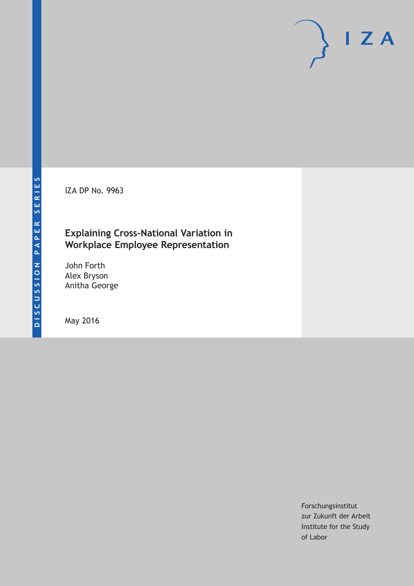IZA DP No. 9963

## **Explaining Cross-National Variation in Workplace Employee Representation**

John Forth Alex Bryson Anitha George

May 2016

Forschungsinstitut zur Zukunft der Arbeit Institute for the Study of Labor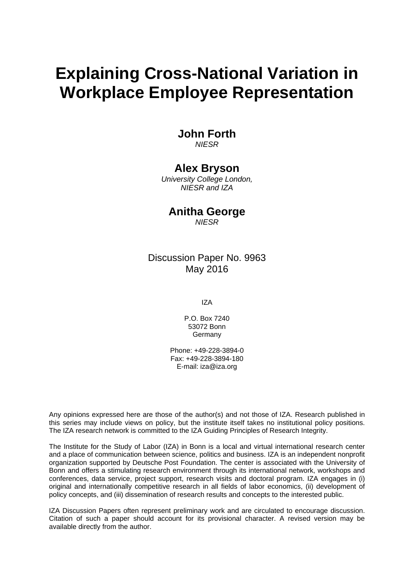# **Explaining Cross-National Variation in Workplace Employee Representation**

## **John Forth**

*NIESR* 

## **Alex Bryson**

*University College London, NIESR and IZA* 

### **Anitha George**

*NIESR*

### Discussion Paper No. 9963 May 2016

IZA

P.O. Box 7240 53072 Bonn **Germany** 

Phone: +49-228-3894-0 Fax: +49-228-3894-180 E-mail: iza@iza.org

Any opinions expressed here are those of the author(s) and not those of IZA. Research published in this series may include views on policy, but the institute itself takes no institutional policy positions. The IZA research network is committed to the IZA Guiding Principles of Research Integrity.

The Institute for the Study of Labor (IZA) in Bonn is a local and virtual international research center and a place of communication between science, politics and business. IZA is an independent nonprofit organization supported by Deutsche Post Foundation. The center is associated with the University of Bonn and offers a stimulating research environment through its international network, workshops and conferences, data service, project support, research visits and doctoral program. IZA engages in (i) original and internationally competitive research in all fields of labor economics, (ii) development of policy concepts, and (iii) dissemination of research results and concepts to the interested public.

IZA Discussion Papers often represent preliminary work and are circulated to encourage discussion. Citation of such a paper should account for its provisional character. A revised version may be available directly from the author.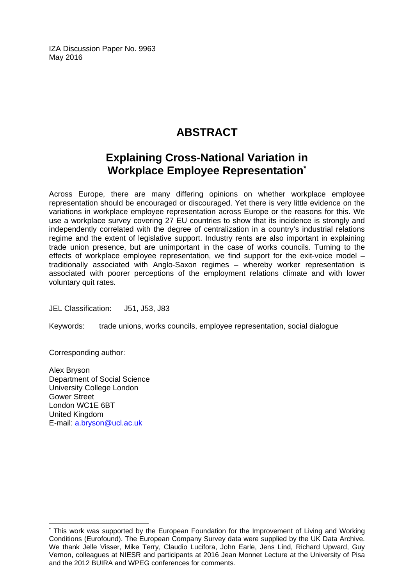IZA Discussion Paper No. 9963 May 2016

## **ABSTRACT**

## **Explaining Cross-National Variation in Workplace Employee Representation\***

Across Europe, there are many differing opinions on whether workplace employee representation should be encouraged or discouraged. Yet there is very little evidence on the variations in workplace employee representation across Europe or the reasons for this. We use a workplace survey covering 27 EU countries to show that its incidence is strongly and independently correlated with the degree of centralization in a country's industrial relations regime and the extent of legislative support. Industry rents are also important in explaining trade union presence, but are unimportant in the case of works councils. Turning to the effects of workplace employee representation, we find support for the exit-voice model  $$ traditionally associated with Anglo-Saxon regimes – whereby worker representation is associated with poorer perceptions of the employment relations climate and with lower voluntary quit rates.

JEL Classification: J51, J53, J83

Keywords: trade unions, works councils, employee representation, social dialogue

Corresponding author:

 $\overline{a}$ 

Alex Bryson Department of Social Science University College London Gower Street London WC1E 6BT United Kingdom E-mail: a.bryson@ucl.ac.uk

<sup>\*</sup> This work was supported by the European Foundation for the Improvement of Living and Working Conditions (Eurofound). The European Company Survey data were supplied by the UK Data Archive. We thank Jelle Visser, Mike Terry, Claudio Lucifora, John Earle, Jens Lind, Richard Upward, Guy Vernon, colleagues at NIESR and participants at 2016 Jean Monnet Lecture at the University of Pisa and the 2012 BUIRA and WPEG conferences for comments.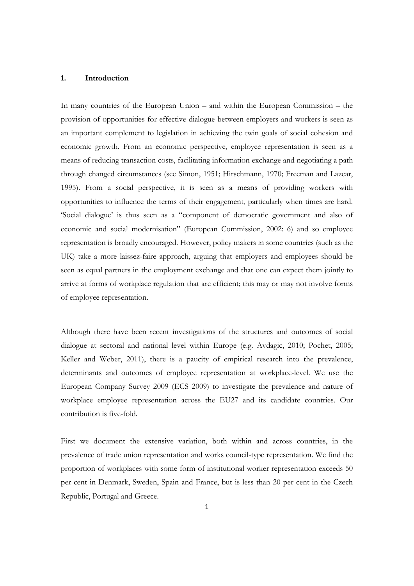#### **1. Introduction**

In many countries of the European Union – and within the European Commission – the provision of opportunities for effective dialogue between employers and workers is seen as an important complement to legislation in achieving the twin goals of social cohesion and economic growth. From an economic perspective, employee representation is seen as a means of reducing transaction costs, facilitating information exchange and negotiating a path through changed circumstances (see Simon, 1951; Hirschmann, 1970; Freeman and Lazear, 1995). From a social perspective, it is seen as a means of providing workers with opportunities to influence the terms of their engagement, particularly when times are hard. 'Social dialogue' is thus seen as a "component of democratic government and also of economic and social modernisation" (European Commission, 2002: 6) and so employee representation is broadly encouraged. However, policy makers in some countries (such as the UK) take a more laissez-faire approach, arguing that employers and employees should be seen as equal partners in the employment exchange and that one can expect them jointly to arrive at forms of workplace regulation that are efficient; this may or may not involve forms of employee representation.

Although there have been recent investigations of the structures and outcomes of social dialogue at sectoral and national level within Europe (e.g. Avdagic, 2010; Pochet, 2005; Keller and Weber, 2011), there is a paucity of empirical research into the prevalence, determinants and outcomes of employee representation at workplace-level. We use the European Company Survey 2009 (ECS 2009) to investigate the prevalence and nature of workplace employee representation across the EU27 and its candidate countries. Our contribution is five-fold.

First we document the extensive variation, both within and across countries, in the prevalence of trade union representation and works council-type representation. We find the proportion of workplaces with some form of institutional worker representation exceeds 50 per cent in Denmark, Sweden, Spain and France, but is less than 20 per cent in the Czech Republic, Portugal and Greece.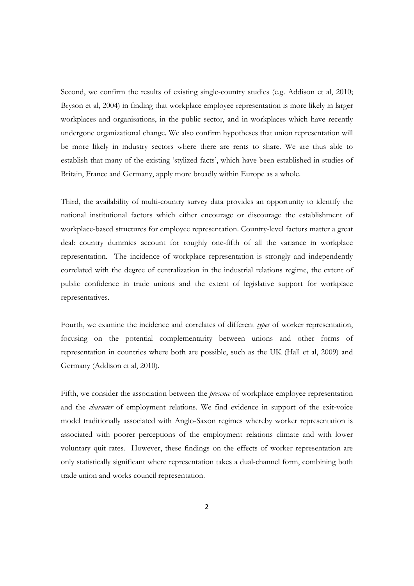Second, we confirm the results of existing single-country studies (e.g. Addison et al, 2010; Bryson et al, 2004) in finding that workplace employee representation is more likely in larger workplaces and organisations, in the public sector, and in workplaces which have recently undergone organizational change. We also confirm hypotheses that union representation will be more likely in industry sectors where there are rents to share. We are thus able to establish that many of the existing 'stylized facts', which have been established in studies of Britain, France and Germany, apply more broadly within Europe as a whole.

Third, the availability of multi-country survey data provides an opportunity to identify the national institutional factors which either encourage or discourage the establishment of workplace-based structures for employee representation. Country-level factors matter a great deal: country dummies account for roughly one-fifth of all the variance in workplace representation. The incidence of workplace representation is strongly and independently correlated with the degree of centralization in the industrial relations regime, the extent of public confidence in trade unions and the extent of legislative support for workplace representatives.

Fourth, we examine the incidence and correlates of different *types* of worker representation, focusing on the potential complementarity between unions and other forms of representation in countries where both are possible, such as the UK (Hall et al, 2009) and Germany (Addison et al, 2010).

Fifth, we consider the association between the *presence* of workplace employee representation and the *character* of employment relations. We find evidence in support of the exit-voice model traditionally associated with Anglo-Saxon regimes whereby worker representation is associated with poorer perceptions of the employment relations climate and with lower voluntary quit rates. However, these findings on the effects of worker representation are only statistically significant where representation takes a dual-channel form, combining both trade union and works council representation.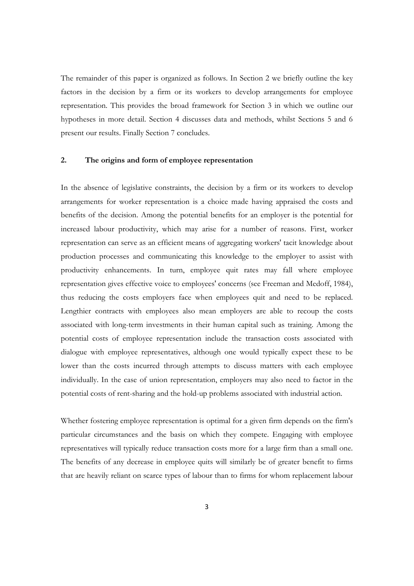The remainder of this paper is organized as follows. In Section 2 we briefly outline the key factors in the decision by a firm or its workers to develop arrangements for employee representation. This provides the broad framework for Section 3 in which we outline our hypotheses in more detail. Section 4 discusses data and methods, whilst Sections 5 and 6 present our results. Finally Section 7 concludes.

#### **2. The origins and form of employee representation**

In the absence of legislative constraints, the decision by a firm or its workers to develop arrangements for worker representation is a choice made having appraised the costs and benefits of the decision. Among the potential benefits for an employer is the potential for increased labour productivity, which may arise for a number of reasons. First, worker representation can serve as an efficient means of aggregating workers' tacit knowledge about production processes and communicating this knowledge to the employer to assist with productivity enhancements. In turn, employee quit rates may fall where employee representation gives effective voice to employees' concerns (see Freeman and Medoff, 1984), thus reducing the costs employers face when employees quit and need to be replaced. Lengthier contracts with employees also mean employers are able to recoup the costs associated with long-term investments in their human capital such as training. Among the potential costs of employee representation include the transaction costs associated with dialogue with employee representatives, although one would typically expect these to be lower than the costs incurred through attempts to discuss matters with each employee individually. In the case of union representation, employers may also need to factor in the potential costs of rent-sharing and the hold-up problems associated with industrial action.

Whether fostering employee representation is optimal for a given firm depends on the firm's particular circumstances and the basis on which they compete. Engaging with employee representatives will typically reduce transaction costs more for a large firm than a small one. The benefits of any decrease in employee quits will similarly be of greater benefit to firms that are heavily reliant on scarce types of labour than to firms for whom replacement labour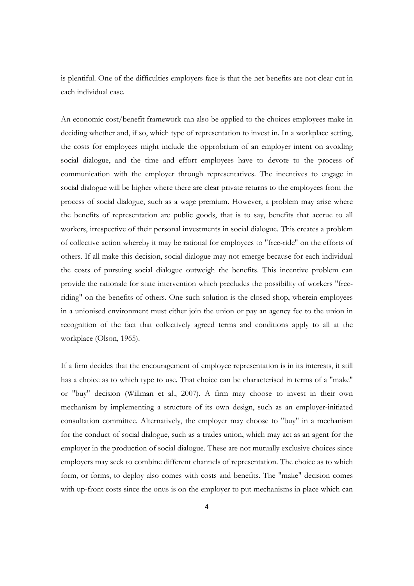is plentiful. One of the difficulties employers face is that the net benefits are not clear cut in each individual case.

An economic cost/benefit framework can also be applied to the choices employees make in deciding whether and, if so, which type of representation to invest in. In a workplace setting, the costs for employees might include the opprobrium of an employer intent on avoiding social dialogue, and the time and effort employees have to devote to the process of communication with the employer through representatives. The incentives to engage in social dialogue will be higher where there are clear private returns to the employees from the process of social dialogue, such as a wage premium. However, a problem may arise where the benefits of representation are public goods, that is to say, benefits that accrue to all workers, irrespective of their personal investments in social dialogue. This creates a problem of collective action whereby it may be rational for employees to "free-ride" on the efforts of others. If all make this decision, social dialogue may not emerge because for each individual the costs of pursuing social dialogue outweigh the benefits. This incentive problem can provide the rationale for state intervention which precludes the possibility of workers "freeriding" on the benefits of others. One such solution is the closed shop, wherein employees in a unionised environment must either join the union or pay an agency fee to the union in recognition of the fact that collectively agreed terms and conditions apply to all at the workplace (Olson, 1965).

If a firm decides that the encouragement of employee representation is in its interests, it still has a choice as to which type to use. That choice can be characterised in terms of a "make" or "buy" decision (Willman et al., 2007). A firm may choose to invest in their own mechanism by implementing a structure of its own design, such as an employer-initiated consultation committee. Alternatively, the employer may choose to "buy" in a mechanism for the conduct of social dialogue, such as a trades union, which may act as an agent for the employer in the production of social dialogue. These are not mutually exclusive choices since employers may seek to combine different channels of representation. The choice as to which form, or forms, to deploy also comes with costs and benefits. The "make" decision comes with up-front costs since the onus is on the employer to put mechanisms in place which can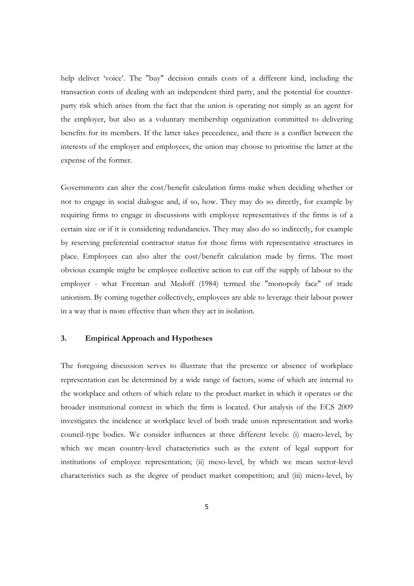help deliver 'voice'. The "buy" decision entails costs of a different kind, including the transaction costs of dealing with an independent third party, and the potential for counterparty risk which arises from the fact that the union is operating not simply as an agent for the employer, but also as a voluntary membership organization committed to delivering benefits for its members. If the latter takes precedence, and there is a conflict between the interests of the employer and employees, the union may choose to prioritise the latter at the expense of the former.

Governments can alter the cost/benefit calculation firms make when deciding whether or not to engage in social dialogue and, if so, how. They may do so directly, for example by requiring firms to engage in discussions with employee representatives if the firms is of a certain size or if it is considering redundancies. They may also do so indirectly, for example by reserving preferential contractor status for those firms with representative structures in place. Employees can also alter the cost/benefit calculation made by firms. The most obvious example might be employee collective action to cut off the supply of labour to the employer - what Freeman and Medoff (1984) termed the "monopoly face" of trade unionism. By coming together collectively, employees are able to leverage their labour power in a way that is more effective than when they act in isolation.

#### **3. Empirical Approach and Hypotheses**

The foregoing discussion serves to illustrate that the presence or absence of workplace representation can be determined by a wide range of factors, some of which are internal to the workplace and others of which relate to the product market in which it operates or the broader institutional context in which the firm is located. Our analysis of the ECS 2009 investigates the incidence at workplace level of both trade union representation and works council-type bodies. We consider influences at three different levels: (i) macro-level, by which we mean country-level characteristics such as the extent of legal support for institutions of employee representation; (ii) meso-level, by which we mean sector-level characteristics such as the degree of product market competition; and (iii) micro-level, by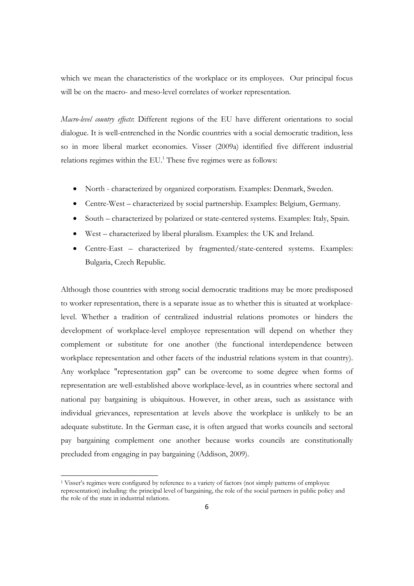which we mean the characteristics of the workplace or its employees. Our principal focus will be on the macro- and meso-level correlates of worker representation.

*Macro-level country effects*: Different regions of the EU have different orientations to social dialogue. It is well-entrenched in the Nordic countries with a social democratic tradition, less so in more liberal market economies. Visser (2009a) identified five different industrial relations regimes within the EU.<sup>1</sup> These five regimes were as follows:

- North characterized by organized corporatism. Examples: Denmark, Sweden.
- Centre-West characterized by social partnership. Examples: Belgium, Germany.
- South characterized by polarized or state-centered systems. Examples: Italy, Spain.
- West characterized by liberal pluralism. Examples: the UK and Ireland.
- Centre-East characterized by fragmented/state-centered systems. Examples: Bulgaria, Czech Republic.

Although those countries with strong social democratic traditions may be more predisposed to worker representation, there is a separate issue as to whether this is situated at workplacelevel. Whether a tradition of centralized industrial relations promotes or hinders the development of workplace-level employee representation will depend on whether they complement or substitute for one another (the functional interdependence between workplace representation and other facets of the industrial relations system in that country). Any workplace "representation gap" can be overcome to some degree when forms of representation are well-established above workplace-level, as in countries where sectoral and national pay bargaining is ubiquitous. However, in other areas, such as assistance with individual grievances, representation at levels above the workplace is unlikely to be an adequate substitute. In the German case, it is often argued that works councils and sectoral pay bargaining complement one another because works councils are constitutionally precluded from engaging in pay bargaining (Addison, 2009).

<sup>1</sup> Visser's regimes were configured by reference to a variety of factors (not simply patterns of employee representation) including: the principal level of bargaining, the role of the social partners in public policy and the role of the state in industrial relations.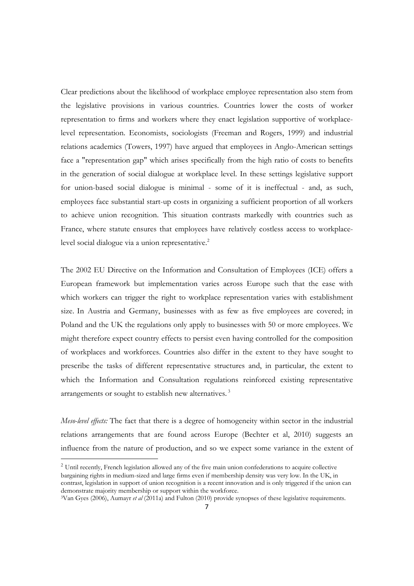Clear predictions about the likelihood of workplace employee representation also stem from the legislative provisions in various countries. Countries lower the costs of worker representation to firms and workers where they enact legislation supportive of workplacelevel representation. Economists, sociologists (Freeman and Rogers, 1999) and industrial relations academics (Towers, 1997) have argued that employees in Anglo-American settings face a "representation gap" which arises specifically from the high ratio of costs to benefits in the generation of social dialogue at workplace level. In these settings legislative support for union-based social dialogue is minimal - some of it is ineffectual - and, as such, employees face substantial start-up costs in organizing a sufficient proportion of all workers to achieve union recognition. This situation contrasts markedly with countries such as France, where statute ensures that employees have relatively costless access to workplacelevel social dialogue via a union representative.<sup>2</sup>

The 2002 EU Directive on the Information and Consultation of Employees (ICE) offers a European framework but implementation varies across Europe such that the ease with which workers can trigger the right to workplace representation varies with establishment size. In Austria and Germany, businesses with as few as five employees are covered; in Poland and the UK the regulations only apply to businesses with 50 or more employees. We might therefore expect country effects to persist even having controlled for the composition of workplaces and workforces. Countries also differ in the extent to they have sought to prescribe the tasks of different representative structures and, in particular, the extent to which the Information and Consultation regulations reinforced existing representative arrangements or sought to establish new alternatives.<sup>3</sup>

*Meso-level effects:* The fact that there is a degree of homogeneity within sector in the industrial relations arrangements that are found across Europe (Bechter et al, 2010) suggests an influence from the nature of production, and so we expect some variance in the extent of

<sup>&</sup>lt;sup>2</sup> Until recently, French legislation allowed any of the five main union confederations to acquire collective bargaining rights in medium-sized and large firms even if membership density was very low. In the UK, in contrast, legislation in support of union recognition is a recent innovation and is only triggered if the union can demonstrate majority membership or support within the workforce.

<sup>3</sup>Van Gyes (2006), Aumayr *et al* (2011a) and Fulton (2010) provide synopses of these legislative requirements.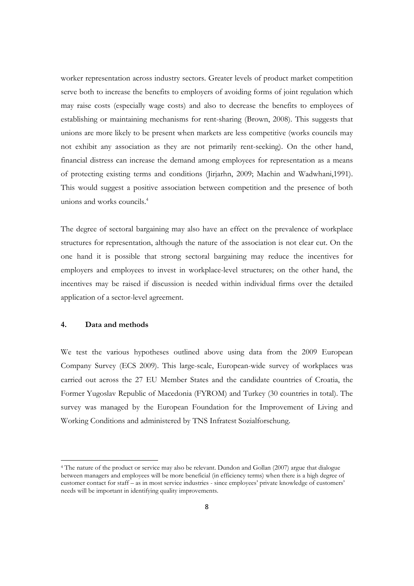worker representation across industry sectors. Greater levels of product market competition serve both to increase the benefits to employers of avoiding forms of joint regulation which may raise costs (especially wage costs) and also to decrease the benefits to employees of establishing or maintaining mechanisms for rent-sharing (Brown, 2008). This suggests that unions are more likely to be present when markets are less competitive (works councils may not exhibit any association as they are not primarily rent-seeking). On the other hand, financial distress can increase the demand among employees for representation as a means of protecting existing terms and conditions (Jirjarhn, 2009; Machin and Wadwhani,1991). This would suggest a positive association between competition and the presence of both unions and works councils.4

The degree of sectoral bargaining may also have an effect on the prevalence of workplace structures for representation, although the nature of the association is not clear cut. On the one hand it is possible that strong sectoral bargaining may reduce the incentives for employers and employees to invest in workplace-level structures; on the other hand, the incentives may be raised if discussion is needed within individual firms over the detailed application of a sector-level agreement.

#### **4. Data and methods**

We test the various hypotheses outlined above using data from the 2009 European Company Survey (ECS 2009). This large-scale, European-wide survey of workplaces was carried out across the 27 EU Member States and the candidate countries of Croatia, the Former Yugoslav Republic of Macedonia (FYROM) and Turkey (30 countries in total). The survey was managed by the European Foundation for the Improvement of Living and Working Conditions and administered by TNS Infratest Sozialforschung.

<sup>&</sup>lt;sup>4</sup> The nature of the product or service may also be relevant. Dundon and Gollan (2007) argue that dialogue between managers and employees will be more beneficial (in efficiency terms) when there is a high degree of customer contact for staff – as in most service industries - since employees' private knowledge of customers' needs will be important in identifying quality improvements.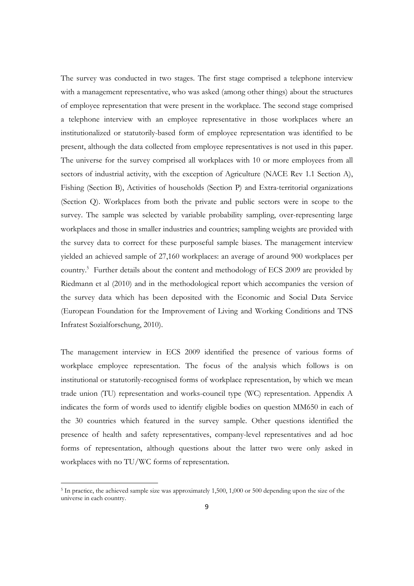The survey was conducted in two stages. The first stage comprised a telephone interview with a management representative, who was asked (among other things) about the structures of employee representation that were present in the workplace. The second stage comprised a telephone interview with an employee representative in those workplaces where an institutionalized or statutorily-based form of employee representation was identified to be present, although the data collected from employee representatives is not used in this paper. The universe for the survey comprised all workplaces with 10 or more employees from all sectors of industrial activity, with the exception of Agriculture (NACE Rev 1.1 Section A), Fishing (Section B), Activities of households (Section P) and Extra-territorial organizations (Section Q). Workplaces from both the private and public sectors were in scope to the survey. The sample was selected by variable probability sampling, over-representing large workplaces and those in smaller industries and countries; sampling weights are provided with the survey data to correct for these purposeful sample biases. The management interview yielded an achieved sample of 27,160 workplaces: an average of around 900 workplaces per country.<sup>5</sup> Further details about the content and methodology of ECS 2009 are provided by Riedmann et al (2010) and in the methodological report which accompanies the version of the survey data which has been deposited with the Economic and Social Data Service (European Foundation for the Improvement of Living and Working Conditions and TNS Infratest Sozialforschung, 2010).

The management interview in ECS 2009 identified the presence of various forms of workplace employee representation. The focus of the analysis which follows is on institutional or statutorily-recognised forms of workplace representation, by which we mean trade union (TU) representation and works-council type (WC) representation. Appendix A indicates the form of words used to identify eligible bodies on question MM650 in each of the 30 countries which featured in the survey sample. Other questions identified the presence of health and safety representatives, company-level representatives and ad hoc forms of representation, although questions about the latter two were only asked in workplaces with no TU/WC forms of representation.

<sup>5</sup> In practice, the achieved sample size was approximately 1,500, 1,000 or 500 depending upon the size of the universe in each country.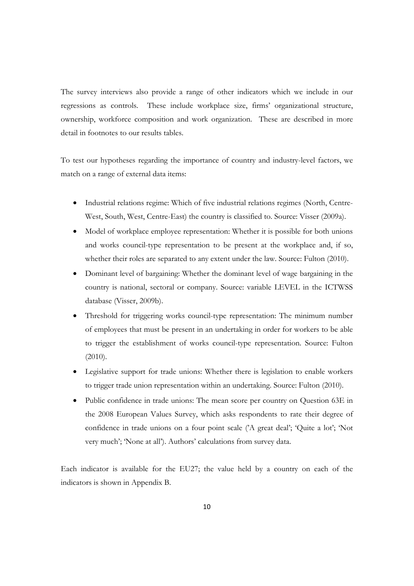The survey interviews also provide a range of other indicators which we include in our regressions as controls. These include workplace size, firms' organizational structure, ownership, workforce composition and work organization. These are described in more detail in footnotes to our results tables.

To test our hypotheses regarding the importance of country and industry-level factors, we match on a range of external data items:

- Industrial relations regime: Which of five industrial relations regimes (North, Centre-West, South, West, Centre-East) the country is classified to. Source: Visser (2009a).
- Model of workplace employee representation: Whether it is possible for both unions and works council-type representation to be present at the workplace and, if so, whether their roles are separated to any extent under the law. Source: Fulton (2010).
- Dominant level of bargaining: Whether the dominant level of wage bargaining in the country is national, sectoral or company. Source: variable LEVEL in the ICTWSS database (Visser, 2009b).
- Threshold for triggering works council-type representation: The minimum number of employees that must be present in an undertaking in order for workers to be able to trigger the establishment of works council-type representation. Source: Fulton (2010).
- Legislative support for trade unions: Whether there is legislation to enable workers to trigger trade union representation within an undertaking. Source: Fulton (2010).
- Public confidence in trade unions: The mean score per country on Question 63E in the 2008 European Values Survey, which asks respondents to rate their degree of confidence in trade unions on a four point scale ('A great deal'; 'Quite a lot'; 'Not very much'; 'None at all'). Authors' calculations from survey data.

Each indicator is available for the EU27; the value held by a country on each of the indicators is shown in Appendix B.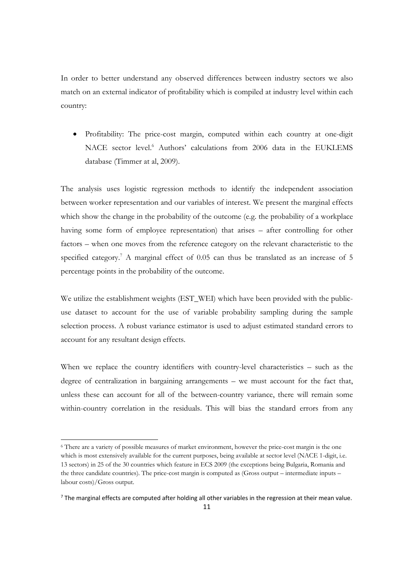In order to better understand any observed differences between industry sectors we also match on an external indicator of profitability which is compiled at industry level within each country:

 Profitability: The price-cost margin, computed within each country at one-digit NACE sector level.<sup>6</sup> Authors' calculations from 2006 data in the EUKLEMS database (Timmer at al, 2009).

The analysis uses logistic regression methods to identify the independent association between worker representation and our variables of interest. We present the marginal effects which show the change in the probability of the outcome (e.g. the probability of a workplace having some form of employee representation) that arises – after controlling for other factors – when one moves from the reference category on the relevant characteristic to the specified category.<sup>7</sup> A marginal effect of 0.05 can thus be translated as an increase of 5 percentage points in the probability of the outcome.

We utilize the establishment weights (EST\_WEI) which have been provided with the publicuse dataset to account for the use of variable probability sampling during the sample selection process. A robust variance estimator is used to adjust estimated standard errors to account for any resultant design effects.

When we replace the country identifiers with country-level characteristics – such as the degree of centralization in bargaining arrangements – we must account for the fact that, unless these can account for all of the between-country variance, there will remain some within-country correlation in the residuals. This will bias the standard errors from any

<sup>6</sup> There are a variety of possible measures of market environment, however the price-cost margin is the one which is most extensively available for the current purposes, being available at sector level (NACE 1-digit, i.e. 13 sectors) in 25 of the 30 countries which feature in ECS 2009 (the exceptions being Bulgaria, Romania and the three candidate countries). The price-cost margin is computed as (Gross output – intermediate inputs – labour costs)/Gross output.

<sup>&</sup>lt;sup>7</sup> The marginal effects are computed after holding all other variables in the regression at their mean value.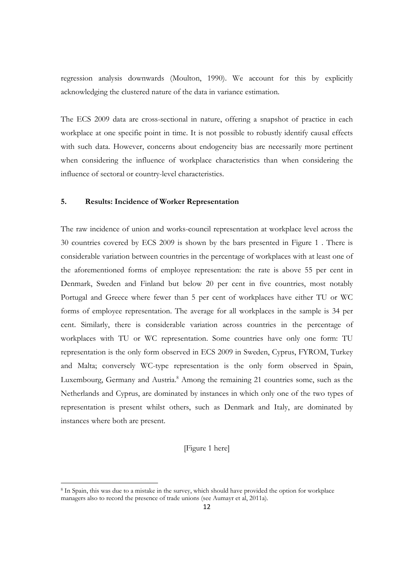regression analysis downwards (Moulton, 1990). We account for this by explicitly acknowledging the clustered nature of the data in variance estimation.

The ECS 2009 data are cross-sectional in nature, offering a snapshot of practice in each workplace at one specific point in time. It is not possible to robustly identify causal effects with such data. However, concerns about endogeneity bias are necessarily more pertinent when considering the influence of workplace characteristics than when considering the influence of sectoral or country-level characteristics.

#### **5. Results: Incidence of Worker Representation**

The raw incidence of union and works-council representation at workplace level across the 30 countries covered by ECS 2009 is shown by the bars presented in Figure 1 . There is considerable variation between countries in the percentage of workplaces with at least one of the aforementioned forms of employee representation: the rate is above 55 per cent in Denmark, Sweden and Finland but below 20 per cent in five countries, most notably Portugal and Greece where fewer than 5 per cent of workplaces have either TU or WC forms of employee representation. The average for all workplaces in the sample is 34 per cent. Similarly, there is considerable variation across countries in the percentage of workplaces with TU or WC representation. Some countries have only one form: TU representation is the only form observed in ECS 2009 in Sweden, Cyprus, FYROM, Turkey and Malta; conversely WC-type representation is the only form observed in Spain, Luxembourg, Germany and Austria.<sup>8</sup> Among the remaining 21 countries some, such as the Netherlands and Cyprus, are dominated by instances in which only one of the two types of representation is present whilst others, such as Denmark and Italy, are dominated by instances where both are present.

[Figure 1 here]

<sup>8</sup> In Spain, this was due to a mistake in the survey, which should have provided the option for workplace managers also to record the presence of trade unions (see Aumayr et al, 2011a).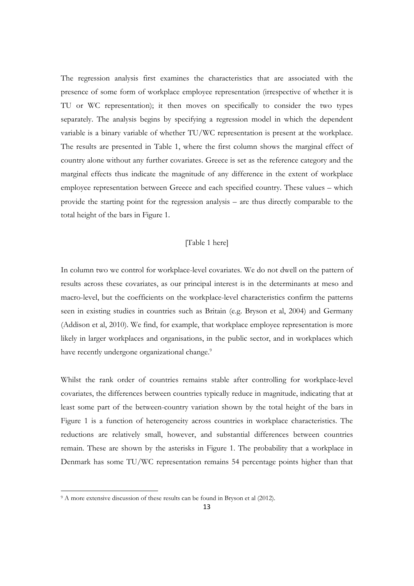The regression analysis first examines the characteristics that are associated with the presence of some form of workplace employee representation (irrespective of whether it is TU or WC representation); it then moves on specifically to consider the two types separately. The analysis begins by specifying a regression model in which the dependent variable is a binary variable of whether TU/WC representation is present at the workplace. The results are presented in Table 1, where the first column shows the marginal effect of country alone without any further covariates. Greece is set as the reference category and the marginal effects thus indicate the magnitude of any difference in the extent of workplace employee representation between Greece and each specified country. These values – which provide the starting point for the regression analysis – are thus directly comparable to the total height of the bars in Figure 1.

#### [Table 1 here]

In column two we control for workplace-level covariates. We do not dwell on the pattern of results across these covariates, as our principal interest is in the determinants at meso and macro-level, but the coefficients on the workplace-level characteristics confirm the patterns seen in existing studies in countries such as Britain (e.g. Bryson et al, 2004) and Germany (Addison et al, 2010). We find, for example, that workplace employee representation is more likely in larger workplaces and organisations, in the public sector, and in workplaces which have recently undergone organizational change.<sup>9</sup>

Whilst the rank order of countries remains stable after controlling for workplace-level covariates, the differences between countries typically reduce in magnitude, indicating that at least some part of the between-country variation shown by the total height of the bars in Figure 1 is a function of heterogeneity across countries in workplace characteristics. The reductions are relatively small, however, and substantial differences between countries remain. These are shown by the asterisks in Figure 1. The probability that a workplace in Denmark has some TU/WC representation remains 54 percentage points higher than that

<sup>&</sup>lt;sup>9</sup> A more extensive discussion of these results can be found in Bryson et al (2012).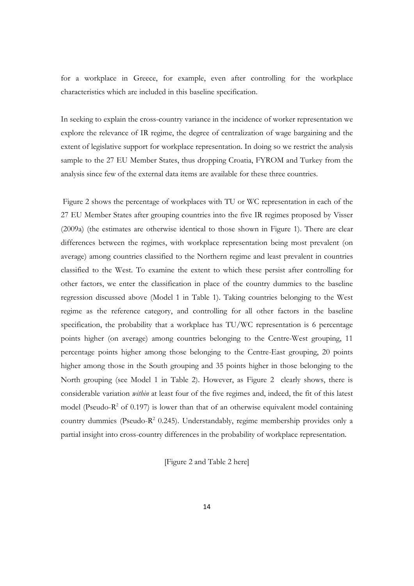for a workplace in Greece, for example, even after controlling for the workplace characteristics which are included in this baseline specification.

In seeking to explain the cross-country variance in the incidence of worker representation we explore the relevance of IR regime, the degree of centralization of wage bargaining and the extent of legislative support for workplace representation. In doing so we restrict the analysis sample to the 27 EU Member States, thus dropping Croatia, FYROM and Turkey from the analysis since few of the external data items are available for these three countries.

 Figure 2 shows the percentage of workplaces with TU or WC representation in each of the 27 EU Member States after grouping countries into the five IR regimes proposed by Visser (2009a) (the estimates are otherwise identical to those shown in Figure 1). There are clear differences between the regimes, with workplace representation being most prevalent (on average) among countries classified to the Northern regime and least prevalent in countries classified to the West. To examine the extent to which these persist after controlling for other factors, we enter the classification in place of the country dummies to the baseline regression discussed above (Model 1 in Table 1). Taking countries belonging to the West regime as the reference category, and controlling for all other factors in the baseline specification, the probability that a workplace has TU/WC representation is 6 percentage points higher (on average) among countries belonging to the Centre-West grouping, 11 percentage points higher among those belonging to the Centre-East grouping, 20 points higher among those in the South grouping and 35 points higher in those belonging to the North grouping (see Model 1 in Table 2). However, as Figure 2 clearly shows, there is considerable variation *within* at least four of the five regimes and, indeed, the fit of this latest model (Pseudo- $R<sup>2</sup>$  of 0.197) is lower than that of an otherwise equivalent model containing country dummies (Pseudo-R<sup>2</sup> 0.245). Understandably, regime membership provides only a partial insight into cross-country differences in the probability of workplace representation.

[Figure 2 and Table 2 here]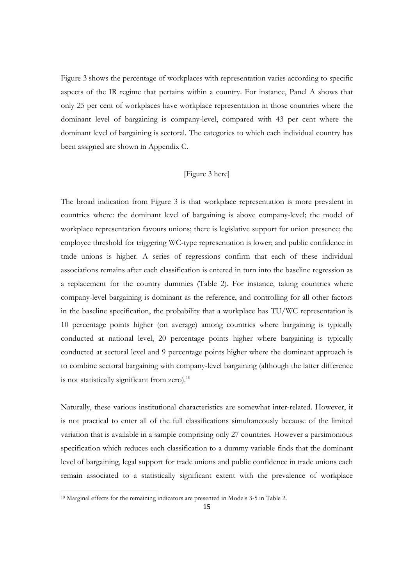Figure 3 shows the percentage of workplaces with representation varies according to specific aspects of the IR regime that pertains within a country. For instance, Panel A shows that only 25 per cent of workplaces have workplace representation in those countries where the dominant level of bargaining is company-level, compared with 43 per cent where the dominant level of bargaining is sectoral. The categories to which each individual country has been assigned are shown in Appendix C.

#### [Figure 3 here]

The broad indication from Figure 3 is that workplace representation is more prevalent in countries where: the dominant level of bargaining is above company-level; the model of workplace representation favours unions; there is legislative support for union presence; the employee threshold for triggering WC-type representation is lower; and public confidence in trade unions is higher. A series of regressions confirm that each of these individual associations remains after each classification is entered in turn into the baseline regression as a replacement for the country dummies (Table 2). For instance, taking countries where company-level bargaining is dominant as the reference, and controlling for all other factors in the baseline specification, the probability that a workplace has TU/WC representation is 10 percentage points higher (on average) among countries where bargaining is typically conducted at national level, 20 percentage points higher where bargaining is typically conducted at sectoral level and 9 percentage points higher where the dominant approach is to combine sectoral bargaining with company-level bargaining (although the latter difference is not statistically significant from zero).<sup>10</sup>

Naturally, these various institutional characteristics are somewhat inter-related. However, it is not practical to enter all of the full classifications simultaneously because of the limited variation that is available in a sample comprising only 27 countries. However a parsimonious specification which reduces each classification to a dummy variable finds that the dominant level of bargaining, legal support for trade unions and public confidence in trade unions each remain associated to a statistically significant extent with the prevalence of workplace

<sup>10</sup> Marginal effects for the remaining indicators are presented in Models 3-5 in Table 2.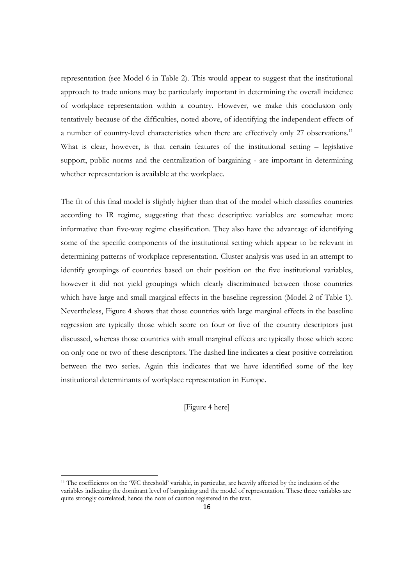representation (see Model 6 in Table 2). This would appear to suggest that the institutional approach to trade unions may be particularly important in determining the overall incidence of workplace representation within a country. However, we make this conclusion only tentatively because of the difficulties, noted above, of identifying the independent effects of a number of country-level characteristics when there are effectively only 27 observations.<sup>11</sup> What is clear, however, is that certain features of the institutional setting – legislative support, public norms and the centralization of bargaining - are important in determining whether representation is available at the workplace.

The fit of this final model is slightly higher than that of the model which classifies countries according to IR regime, suggesting that these descriptive variables are somewhat more informative than five-way regime classification. They also have the advantage of identifying some of the specific components of the institutional setting which appear to be relevant in determining patterns of workplace representation. Cluster analysis was used in an attempt to identify groupings of countries based on their position on the five institutional variables, however it did not yield groupings which clearly discriminated between those countries which have large and small marginal effects in the baseline regression (Model 2 of Table 1). Nevertheless, Figure 4 shows that those countries with large marginal effects in the baseline regression are typically those which score on four or five of the country descriptors just discussed, whereas those countries with small marginal effects are typically those which score on only one or two of these descriptors. The dashed line indicates a clear positive correlation between the two series. Again this indicates that we have identified some of the key institutional determinants of workplace representation in Europe.

[Figure 4 here]

<sup>11</sup> The coefficients on the 'WC threshold' variable, in particular, are heavily affected by the inclusion of the variables indicating the dominant level of bargaining and the model of representation. These three variables are quite strongly correlated; hence the note of caution registered in the text.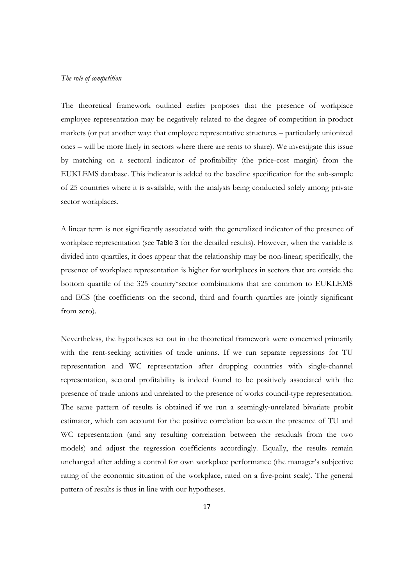#### *The role of competition*

The theoretical framework outlined earlier proposes that the presence of workplace employee representation may be negatively related to the degree of competition in product markets (or put another way: that employee representative structures – particularly unionized ones – will be more likely in sectors where there are rents to share). We investigate this issue by matching on a sectoral indicator of profitability (the price-cost margin) from the EUKLEMS database. This indicator is added to the baseline specification for the sub-sample of 25 countries where it is available, with the analysis being conducted solely among private sector workplaces.

A linear term is not significantly associated with the generalized indicator of the presence of workplace representation (see Table 3 for the detailed results). However, when the variable is divided into quartiles, it does appear that the relationship may be non-linear; specifically, the presence of workplace representation is higher for workplaces in sectors that are outside the bottom quartile of the 325 country\*sector combinations that are common to EUKLEMS and ECS (the coefficients on the second, third and fourth quartiles are jointly significant from zero).

Nevertheless, the hypotheses set out in the theoretical framework were concerned primarily with the rent-seeking activities of trade unions. If we run separate regressions for TU representation and WC representation after dropping countries with single-channel representation, sectoral profitability is indeed found to be positively associated with the presence of trade unions and unrelated to the presence of works council-type representation. The same pattern of results is obtained if we run a seemingly-unrelated bivariate probit estimator, which can account for the positive correlation between the presence of TU and WC representation (and any resulting correlation between the residuals from the two models) and adjust the regression coefficients accordingly. Equally, the results remain unchanged after adding a control for own workplace performance (the manager's subjective rating of the economic situation of the workplace, rated on a five-point scale). The general pattern of results is thus in line with our hypotheses.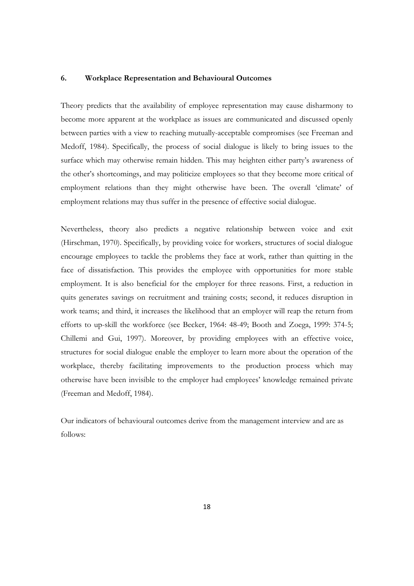#### **6. Workplace Representation and Behavioural Outcomes**

Theory predicts that the availability of employee representation may cause disharmony to become more apparent at the workplace as issues are communicated and discussed openly between parties with a view to reaching mutually-acceptable compromises (see Freeman and Medoff, 1984). Specifically, the process of social dialogue is likely to bring issues to the surface which may otherwise remain hidden. This may heighten either party's awareness of the other's shortcomings, and may politicize employees so that they become more critical of employment relations than they might otherwise have been. The overall 'climate' of employment relations may thus suffer in the presence of effective social dialogue.

Nevertheless, theory also predicts a negative relationship between voice and exit (Hirschman, 1970). Specifically, by providing voice for workers, structures of social dialogue encourage employees to tackle the problems they face at work, rather than quitting in the face of dissatisfaction. This provides the employee with opportunities for more stable employment. It is also beneficial for the employer for three reasons. First, a reduction in quits generates savings on recruitment and training costs; second, it reduces disruption in work teams; and third, it increases the likelihood that an employer will reap the return from efforts to up-skill the workforce (see Becker, 1964: 48-49; Booth and Zoega, 1999: 374-5; Chillemi and Gui, 1997). Moreover, by providing employees with an effective voice, structures for social dialogue enable the employer to learn more about the operation of the workplace, thereby facilitating improvements to the production process which may otherwise have been invisible to the employer had employees' knowledge remained private (Freeman and Medoff, 1984).

Our indicators of behavioural outcomes derive from the management interview and are as follows: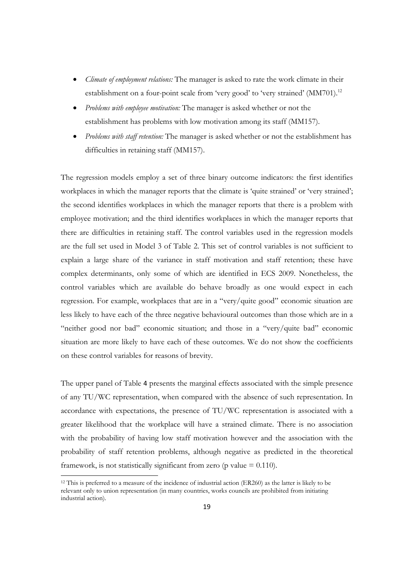- *Climate of employment relations:* The manager is asked to rate the work climate in their establishment on a four-point scale from 'very good' to 'very strained' (MM701).<sup>12</sup>
- *Problems with employee motivation:* The manager is asked whether or not the establishment has problems with low motivation among its staff (MM157).
- *Problems with staff retention:* The manager is asked whether or not the establishment has difficulties in retaining staff (MM157).

The regression models employ a set of three binary outcome indicators: the first identifies workplaces in which the manager reports that the climate is 'quite strained' or 'very strained'; the second identifies workplaces in which the manager reports that there is a problem with employee motivation; and the third identifies workplaces in which the manager reports that there are difficulties in retaining staff. The control variables used in the regression models are the full set used in Model 3 of Table 2. This set of control variables is not sufficient to explain a large share of the variance in staff motivation and staff retention; these have complex determinants, only some of which are identified in ECS 2009. Nonetheless, the control variables which are available do behave broadly as one would expect in each regression. For example, workplaces that are in a "very/quite good" economic situation are less likely to have each of the three negative behavioural outcomes than those which are in a "neither good nor bad" economic situation; and those in a "very/quite bad" economic situation are more likely to have each of these outcomes. We do not show the coefficients on these control variables for reasons of brevity.

The upper panel of Table 4 presents the marginal effects associated with the simple presence of any TU/WC representation, when compared with the absence of such representation. In accordance with expectations, the presence of TU/WC representation is associated with a greater likelihood that the workplace will have a strained climate. There is no association with the probability of having low staff motivation however and the association with the probability of staff retention problems, although negative as predicted in the theoretical framework, is not statistically significant from zero ( $p$  value = 0.110).

<sup>12</sup> This is preferred to a measure of the incidence of industrial action (ER260) as the latter is likely to be relevant only to union representation (in many countries, works councils are prohibited from initiating industrial action).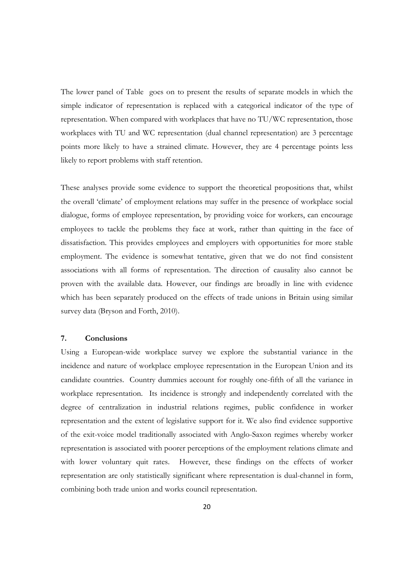The lower panel of Table goes on to present the results of separate models in which the simple indicator of representation is replaced with a categorical indicator of the type of representation. When compared with workplaces that have no TU/WC representation, those workplaces with TU and WC representation (dual channel representation) are 3 percentage points more likely to have a strained climate. However, they are 4 percentage points less likely to report problems with staff retention.

These analyses provide some evidence to support the theoretical propositions that, whilst the overall 'climate' of employment relations may suffer in the presence of workplace social dialogue, forms of employee representation, by providing voice for workers, can encourage employees to tackle the problems they face at work, rather than quitting in the face of dissatisfaction. This provides employees and employers with opportunities for more stable employment. The evidence is somewhat tentative, given that we do not find consistent associations with all forms of representation. The direction of causality also cannot be proven with the available data. However, our findings are broadly in line with evidence which has been separately produced on the effects of trade unions in Britain using similar survey data (Bryson and Forth, 2010).

#### **7. Conclusions**

Using a European-wide workplace survey we explore the substantial variance in the incidence and nature of workplace employee representation in the European Union and its candidate countries. Country dummies account for roughly one-fifth of all the variance in workplace representation. Its incidence is strongly and independently correlated with the degree of centralization in industrial relations regimes, public confidence in worker representation and the extent of legislative support for it. We also find evidence supportive of the exit-voice model traditionally associated with Anglo-Saxon regimes whereby worker representation is associated with poorer perceptions of the employment relations climate and with lower voluntary quit rates. However, these findings on the effects of worker representation are only statistically significant where representation is dual-channel in form, combining both trade union and works council representation.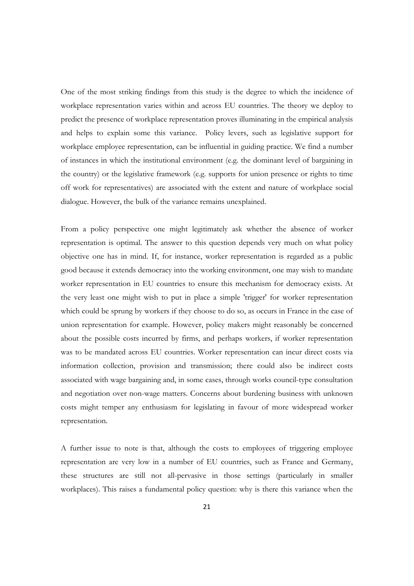One of the most striking findings from this study is the degree to which the incidence of workplace representation varies within and across EU countries. The theory we deploy to predict the presence of workplace representation proves illuminating in the empirical analysis and helps to explain some this variance. Policy levers, such as legislative support for workplace employee representation, can be influential in guiding practice. We find a number of instances in which the institutional environment (e.g. the dominant level of bargaining in the country) or the legislative framework (e.g. supports for union presence or rights to time off work for representatives) are associated with the extent and nature of workplace social dialogue. However, the bulk of the variance remains unexplained.

From a policy perspective one might legitimately ask whether the absence of worker representation is optimal. The answer to this question depends very much on what policy objective one has in mind. If, for instance, worker representation is regarded as a public good because it extends democracy into the working environment, one may wish to mandate worker representation in EU countries to ensure this mechanism for democracy exists. At the very least one might wish to put in place a simple 'trigger' for worker representation which could be sprung by workers if they choose to do so, as occurs in France in the case of union representation for example. However, policy makers might reasonably be concerned about the possible costs incurred by firms, and perhaps workers, if worker representation was to be mandated across EU countries. Worker representation can incur direct costs via information collection, provision and transmission; there could also be indirect costs associated with wage bargaining and, in some cases, through works council-type consultation and negotiation over non-wage matters. Concerns about burdening business with unknown costs might temper any enthusiasm for legislating in favour of more widespread worker representation.

A further issue to note is that, although the costs to employees of triggering employee representation are very low in a number of EU countries, such as France and Germany, these structures are still not all-pervasive in those settings (particularly in smaller workplaces). This raises a fundamental policy question: why is there this variance when the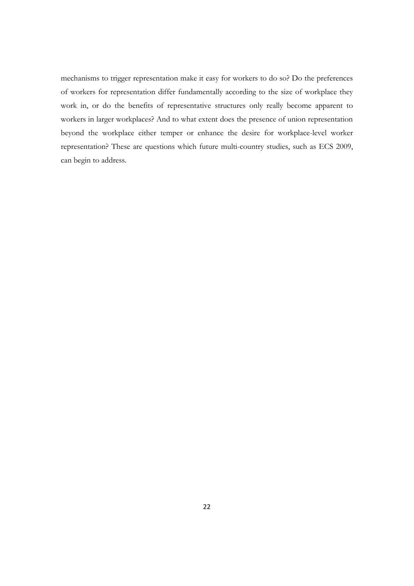mechanisms to trigger representation make it easy for workers to do so? Do the preferences of workers for representation differ fundamentally according to the size of workplace they work in, or do the benefits of representative structures only really become apparent to workers in larger workplaces? And to what extent does the presence of union representation beyond the workplace either temper or enhance the desire for workplace-level worker representation? These are questions which future multi-country studies, such as ECS 2009, can begin to address.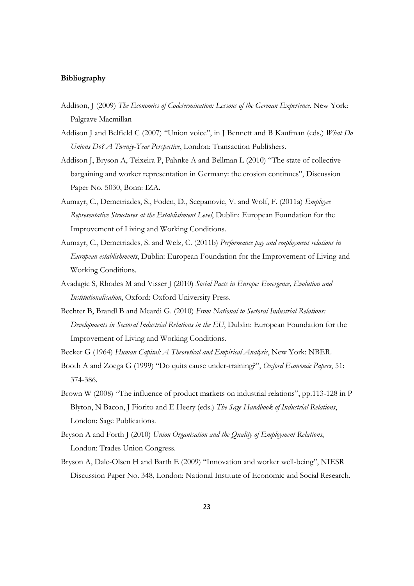#### **Bibliography**

- Addison, J (2009) *The Economics of Codetermination: Lessons of the German Experience*. New York: Palgrave Macmillan
- Addison J and Belfield C (2007) "Union voice", in J Bennett and B Kaufman (eds.) *What Do Unions Do? A Twenty-Year Perspective*, London: Transaction Publishers.
- Addison J, Bryson A, Teixeira P, Pahnke A and Bellman L (2010) "The state of collective bargaining and worker representation in Germany: the erosion continues", Discussion Paper No. 5030, Bonn: IZA.
- Aumayr, C., Demetriades, S., Foden, D., Scepanovic, V. and Wolf, F. (2011a) *Employee Representative Structures at the Establishment Level*, Dublin: European Foundation for the Improvement of Living and Working Conditions.
- Aumayr, C., Demetriades, S. and Welz, C. (2011b) *Performance pay and employment relations in European establishments*, Dublin: European Foundation for the Improvement of Living and Working Conditions.
- Avadagic S, Rhodes M and Visser J (2010) *Social Pacts in Europe: Emergence, Evolution and Institutionalisation*, Oxford: Oxford University Press.
- Bechter B, Brandl B and Meardi G. (2010) *From National to Sectoral Industrial Relations: Developments in Sectoral Industrial Relations in the EU*, Dublin: European Foundation for the Improvement of Living and Working Conditions.
- Becker G (1964) *Human Capital: A Theoretical and Empirical Analysis*, New York: NBER.
- Booth A and Zoega G (1999) "Do quits cause under-training?", *Oxford Economic Papers*, 51: 374-386.
- Brown W (2008) "The influence of product markets on industrial relations", pp.113-128 in P Blyton, N Bacon, J Fiorito and E Heery (eds.) *The Sage Handbook of Industrial Relations*, London: Sage Publications.
- Bryson A and Forth J (2010) *Union Organisation and the Quality of Employment Relations*, London: Trades Union Congress.
- Bryson A, Dale-Olsen H and Barth E (2009) "Innovation and worker well-being", NIESR Discussion Paper No. 348, London: National Institute of Economic and Social Research.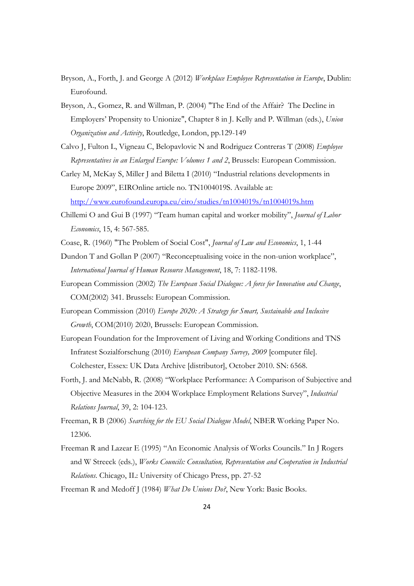- Bryson, A., Forth, J. and George A (2012) *Workplace Employee Representation in Europe*, Dublin: Eurofound.
- Bryson, A., Gomez, R. and Willman, P. (2004) "The End of the Affair? The Decline in Employers' Propensity to Unionize", Chapter 8 in J. Kelly and P. Willman (eds.), *Union Organization and Activity*, Routledge, London, pp.129-149
- Calvo J, Fulton L, Vigneau C, Belopavlovic N and Rodriguez Contreras T (2008) *Employee Representatives in an Enlarged Europe: Volumes 1 and 2*, Brussels: European Commission.
- Carley M, McKay S, Miller J and Biletta I (2010) "Industrial relations developments in Europe 2009", EIROnline article no. TN1004019S. Available at: http://www.eurofound.europa.eu/eiro/studies/tn1004019s/tn1004019s.htm
- Chillemi O and Gui B (1997) "Team human capital and worker mobility", *Journal of Labor Economics*, 15, 4: 567-585.
- Coase, R. (1960) "The Problem of Social Cost", *Journal of Law and Economics*, 1, 1-44
- Dundon T and Gollan P (2007) "Reconceptualising voice in the non-union workplace", *International Journal of Human Resource Management*, 18, 7: 1182-1198.
- European Commission (2002) *The European Social Dialogue: A force for Innovation and Change*, COM(2002) 341. Brussels: European Commission.
- European Commission (2010) *Europe 2020: A Strategy for Smart, Sustainable and Inclusive Growth*, COM(2010) 2020, Brussels: European Commission.
- European Foundation for the Improvement of Living and Working Conditions and TNS Infratest Sozialforschung (2010) *European Company Survey, 2009* [computer file]. Colchester, Essex: UK Data Archive [distributor], October 2010. SN: 6568.
- Forth, J. and McNabb, R. (2008) "Workplace Performance: A Comparison of Subjective and Objective Measures in the 2004 Workplace Employment Relations Survey", *Industrial Relations Journal*, 39, 2: 104-123.
- Freeman, R B (2006) *Searching for the EU Social Dialogue Model*, NBER Working Paper No. 12306.
- Freeman R and Lazear E (1995) "An Economic Analysis of Works Councils." In J Rogers and W Streeck (eds.), *Works Councils: Consultation, Representation and Cooperation in Industrial Relations*. Chicago, IL: University of Chicago Press, pp. 27-52
- Freeman R and Medoff J (1984) *What Do Unions Do?*, New York: Basic Books.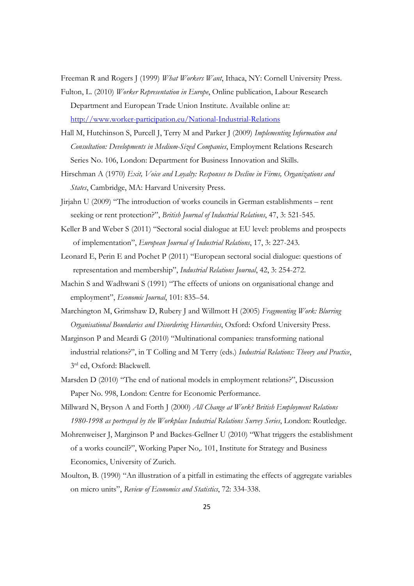Freeman R and Rogers J (1999) *What Workers Want*, Ithaca, NY: Cornell University Press.

- Fulton, L. (2010) *Worker Representation in Europe*, Online publication, Labour Research Department and European Trade Union Institute. Available online at: http://www.worker-participation.eu/National-Industrial-Relations
- Hall M, Hutchinson S, Purcell J, Terry M and Parker J (2009) *Implementing Information and Consultation: Developments in Medium-Sized Companies*, Employment Relations Research Series No. 106, London: Department for Business Innovation and Skills.
- Hirschman A (1970) *Exit, Voice and Loyalty: Responses to Decline in Firms, Organizations and States*, Cambridge, MA: Harvard University Press.
- Jirjahn U (2009) "The introduction of works councils in German establishments rent seeking or rent protection?", *British Journal of Industrial Relations*, 47, 3: 521-545.
- Keller B and Weber S (2011) "Sectoral social dialogue at EU level: problems and prospects of implementation", *European Journal of Industrial Relations*, 17, 3: 227-243.
- Leonard E, Perin E and Pochet P (2011) "European sectoral social dialogue: questions of representation and membership", *Industrial Relations Journal*, 42, 3: 254-272.
- Machin S and Wadhwani S (1991) "The effects of unions on organisational change and employment", *Economic Journal*, 101: 835–54.
- Marchington M, Grimshaw D, Rubery J and Willmott H (2005) *Fragmenting Work: Blurring Organisational Boundaries and Disordering Hierarchies*, Oxford: Oxford University Press.
- Marginson P and Meardi G (2010) "Multinational companies: transforming national industrial relations?", in T Colling and M Terry (eds.) *Industrial Relations: Theory and Practice*, 3rd ed, Oxford: Blackwell.
- Marsden D (2010) "The end of national models in employment relations?", Discussion Paper No. 998, London: Centre for Economic Performance.
- Millward N, Bryson A and Forth J (2000) *All Change at Work? British Employment Relations 1980-1998 as portrayed by the Workplace Industrial Relations Survey Series*, London: Routledge.
- Mohrenweiser J, Marginson P and Backes-Gellner U (2010) "What triggers the establishment of a works council?", Working Paper No,. 101, Institute for Strategy and Business Economics, University of Zurich.
- Moulton, B. (1990) "An illustration of a pitfall in estimating the effects of aggregate variables on micro units", *Review of Economics and Statistics*, 72: 334-338.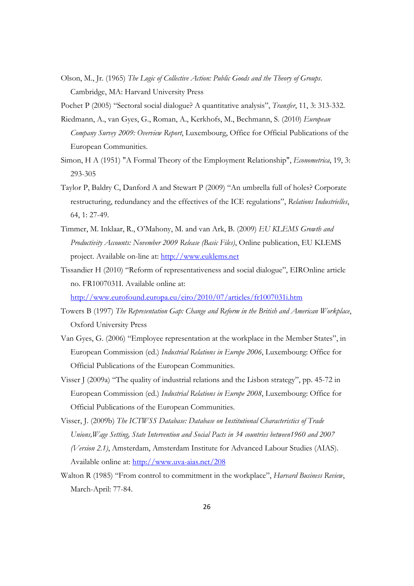Olson, M., Jr. (1965) *The Logic of Collective Action: Public Goods and the Theory of Groups*. Cambridge, MA: Harvard University Press

Pochet P (2005) "Sectoral social dialogue? A quantitative analysis", *Transfer*, 11, 3: 313-332.

- Riedmann, A., van Gyes, G., Roman, A., Kerkhofs, M., Bechmann, S. (2010) *European Company Survey 2009: Overview Report*, Luxembourg, Office for Official Publications of the European Communities.
- Simon, H A (1951) "A Formal Theory of the Employment Relationship", *Econometrica*, 19, 3: 293-305
- Taylor P, Baldry C, Danford A and Stewart P (2009) "An umbrella full of holes? Corporate restructuring, redundancy and the effectives of the ICE regulations", *Relations Industrielles*, 64, 1: 27-49.
- Timmer, M. Inklaar, R., O'Mahony, M. and van Ark, B. (2009) *EU KLEMS Growth and Productivity Accounts: November 2009 Release (Basic Files)*, Online publication, EU KLEMS project. Available on-line at: http://www.euklems.net
- Tissandier H (2010) "Reform of representativeness and social dialogue", EIROnline article no. FR1007031I. Available online at:

http://www.eurofound.europa.eu/eiro/2010/07/articles/fr1007031i.htm

- Towers B (1997) *The Representation Gap: Change and Reform in the British and American Workplace*, Oxford University Press
- Van Gyes, G. (2006) "Employee representation at the workplace in the Member States", in European Commission (ed.) *Industrial Relations in Europe 2006*, Luxembourg: Office for Official Publications of the European Communities.
- Visser J (2009a) "The quality of industrial relations and the Lisbon strategy", pp. 45-72 in European Commission (ed.) *Industrial Relations in Europe 2008*, Luxembourg: Office for Official Publications of the European Communities.
- Visser, J. (2009b) *The ICTWSS Database: Database on Institutional Characteristics of Trade Unions,Wage Setting, State Intervention and Social Pacts in 34 countries between1960 and 2007 (Version 2.1)*, Amsterdam, Amsterdam Institute for Advanced Labour Studies (AIAS). Available online at: http://www.uva-aias.net/208
- Walton R (1985) "From control to commitment in the workplace", *Harvard Business Review*, March-April: 77-84.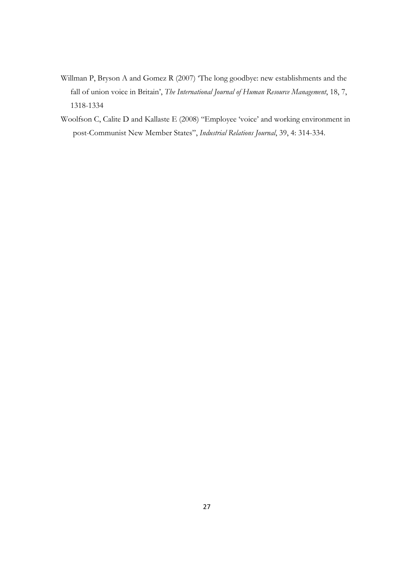- Willman P, Bryson A and Gomez R (2007) 'The long goodbye: new establishments and the fall of union voice in Britain', *The International Journal of Human Resource Management*, 18, 7, 1318-1334
- Woolfson C, Calite D and Kallaste E (2008) "Employee 'voice' and working environment in post-Communist New Member States", *Industrial Relations Journal*, 39, 4: 314-334.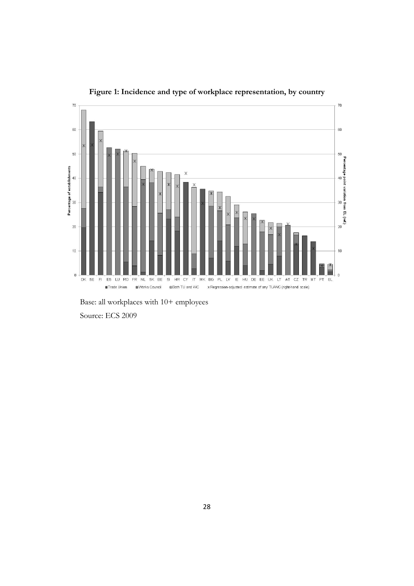

**Figure 1: Incidence and type of workplace representation, by country** 

Base: all workplaces with 10+ employees

Source: ECS 2009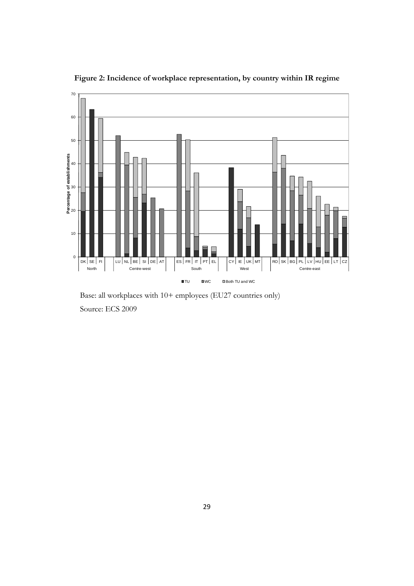

**Figure 2: Incidence of workplace representation, by country within IR regime** 

Base: all workplaces with 10+ employees (EU27 countries only) Source: ECS 2009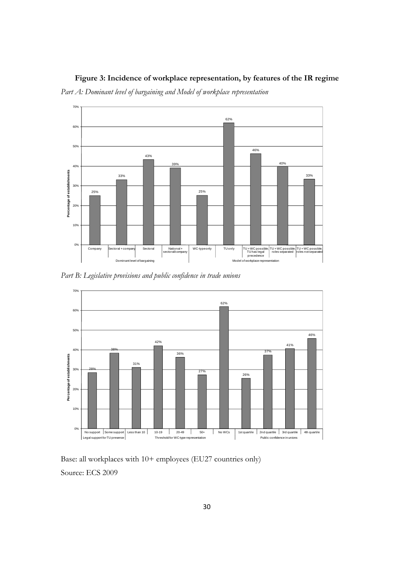### **Figure 3: Incidence of workplace representation, by features of the IR regime**

*Part A: Dominant level of bargaining and Model of workplace representation* 



*Part B: Legislative provisions and public confidence in trade unions* 



Base: all workplaces with 10+ employees (EU27 countries only) Source: ECS 2009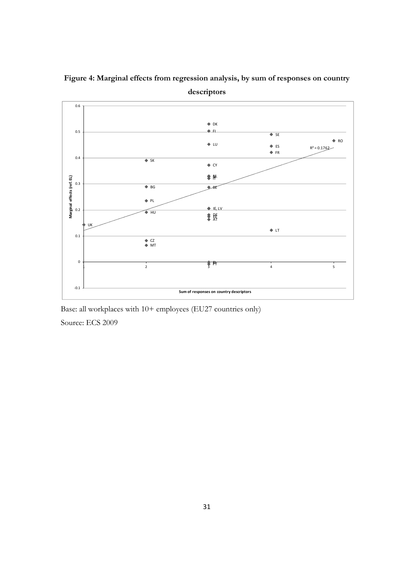

**Figure 4: Marginal effects from regression analysis, by sum of responses on country** 

**descriptors** 

Base: all workplaces with 10+ employees (EU27 countries only)

Source: ECS 2009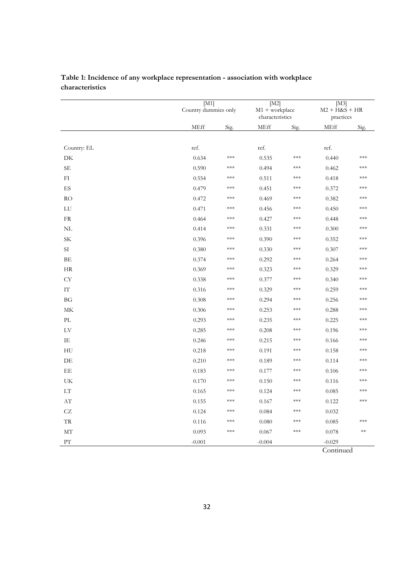|                                 | $\overline{\mathrm{M1}}$<br>Country dummies only |       | $\overline{\text{M2}}$<br>$M1 + workplace$<br>characteristics |       | [M3]<br>$M2 + H&S + HR$<br>practices |       |
|---------------------------------|--------------------------------------------------|-------|---------------------------------------------------------------|-------|--------------------------------------|-------|
|                                 | MEff                                             | Sig.  | <b>MEff</b>                                                   | Sig.  | <b>MEff</b>                          | Sig.  |
|                                 |                                                  |       |                                                               |       |                                      |       |
| Country: EL                     | ref.                                             |       | ref.                                                          |       | ref.                                 |       |
| DK                              | 0.634                                            | ***   | 0.535                                                         | ***   | 0.440                                | ***   |
| SЕ                              | 0.590                                            | $***$ | 0.494                                                         | ***   | 0.462                                | ***   |
| FI                              | 0.554                                            | ***   | 0.511                                                         | ***   | 0.418                                | ***   |
| $\mathop{\hbox{\rm ES}}$        | 0.479                                            | $***$ | 0.451                                                         | ***   | 0.372                                | ***   |
| RO                              | 0.472                                            | ***   | 0.469                                                         | ***   | 0.382                                | ***   |
| ${\rm LU}$                      | 0.471                                            | $***$ | 0.456                                                         | ***   | 0.450                                | ***   |
| ${\rm FR}$                      | 0.464                                            | ***   | 0.427                                                         | ***   | 0.448                                | ***   |
| NL                              | 0.414                                            | ***   | 0.331                                                         | ***   | 0.300                                | ***   |
| SK                              | 0.396                                            | $***$ | 0.390                                                         | ***   | 0.352                                | ***   |
| $\rm{SI}$                       | 0.380                                            | ***   | 0.330                                                         | ***   | 0.307                                | ***   |
| BE                              | 0.374                                            | ***   | 0.292                                                         | ***   | 0.264                                | ***   |
| <b>HR</b>                       | 0.369                                            | ***   | 0.323                                                         | ***   | 0.329                                | ***   |
| <b>CY</b>                       | 0.338                                            | $***$ | 0.377                                                         | $***$ | 0.340                                | $***$ |
| $\mathop{\text{IT}}$            | 0.316                                            | ***   | 0.329                                                         | ***   | 0.259                                | ***   |
| <b>BG</b>                       | 0.308                                            | $***$ | 0.294                                                         | ***   | 0.256                                | $***$ |
| MK                              | 0.306                                            | ***   | 0.253                                                         | ***   | 0.288                                | ***   |
| $\ensuremath{\text{PL}}\xspace$ | 0.293                                            | ***   | 0.235                                                         | ***   | 0.225                                | ***   |
| ${\rm LV}$                      | 0.285                                            | ***   | 0.208                                                         | ***   | 0.196                                | $***$ |
| IE                              | 0.246                                            | ***   | 0.215                                                         | ***   | 0.166                                | ***   |
| HU                              | 0.218                                            | ***   | 0.191                                                         | ***   | 0.158                                | ***   |
| DE                              | 0.210                                            | $***$ | 0.189                                                         | ***   | 0.114                                | $***$ |
| EE                              | 0.183                                            | ***   | 0.177                                                         | ***   | 0.106                                | ***   |
| UK                              | 0.170                                            | $***$ | 0.150                                                         | ***   | 0.116                                | $***$ |
| $\mathop{\rm LT}\nolimits$      | 0.165                                            | $***$ | 0.124                                                         | ***   | 0.085                                | ***   |
| $\mathbf{A}\mathbf{T}$          | 0.155                                            | $***$ | 0.167                                                         | ***   | 0.122                                | $***$ |
| CZ                              | 0.124                                            | ***   | 0.084                                                         | ***   | 0.032                                |       |
| ${\rm TR}$                      | 0.116                                            | ***   | 0.080                                                         | ***   | 0.085                                | ***   |
| МT                              | 0.093                                            | ***   | 0.067                                                         | ***   | 0.078                                | $**$  |
| $\overline{PT}$                 | $-0.001$                                         |       | $-0.004$                                                      |       | $-0.029$                             |       |
|                                 |                                                  |       |                                                               |       | Continued                            |       |

### **Table 1: Incidence of any workplace representation - association with workplace characteristics**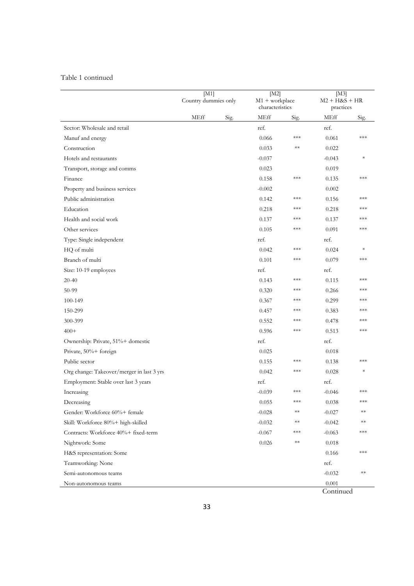#### Table 1 continued

|                                           | [M1]<br>Country dummies only |      | [M2]<br>$M1 + workplace$<br>characteristics |       | [M3]<br>$M2 + H&S + HR$<br>practices |        |
|-------------------------------------------|------------------------------|------|---------------------------------------------|-------|--------------------------------------|--------|
|                                           | MEff                         | Sig. | MEff                                        | Sig.  | MEff                                 | Sig.   |
| Sector: Wholesale and retail              |                              |      | ref.                                        |       | ref.                                 |        |
| Manuf and energy                          |                              |      | 0.066                                       | ***   | 0.061                                | ***    |
| Construction                              |                              |      | 0.033                                       | $**$  | 0.022                                |        |
| Hotels and restaurants                    |                              |      | $-0.037$                                    |       | $-0.043$                             | $\ast$ |
| Transport, storage and comms              |                              |      | 0.023                                       |       | 0.019                                |        |
| Finance                                   |                              |      | 0.158                                       | ***   | 0.135                                | ***    |
| Property and business services            |                              |      | $-0.002$                                    |       | 0.002                                |        |
| Public administration                     |                              |      | 0.142                                       | ***   | 0.156                                | ***    |
| Education                                 |                              |      | 0.218                                       | ***   | 0.218                                | ***    |
| Health and social work                    |                              |      | 0.137                                       | ***   | 0.137                                | ***    |
| Other services                            |                              |      | 0.105                                       | ***   | 0.091                                | ***    |
| Type: Single independent                  |                              |      | ref.                                        |       | ref.                                 |        |
| HQ of multi                               |                              |      | 0.042                                       | ***   | 0.024                                | $\ast$ |
| Branch of multi                           |                              |      | 0.101                                       | ***   | 0.079                                | $***$  |
| Size: 10-19 employees                     |                              |      | ref.                                        |       | ref.                                 |        |
| $20 - 40$                                 |                              |      | 0.143                                       | $***$ | 0.115                                | ***    |
| 50-99                                     |                              |      | 0.320                                       | ***   | 0.266                                | ***    |
| 100-149                                   |                              |      | 0.367                                       | ***   | 0.299                                | ***    |
| 150-299                                   |                              |      | 0.457                                       | $***$ | 0.383                                | ***    |
| 300-399                                   |                              |      | 0.552                                       | ***   | 0.478                                | ***    |
| $400+$                                    |                              |      | 0.596                                       | ***   | 0.513                                | ***    |
| Ownership: Private, 51%+ domestic         |                              |      | ref.                                        |       | ref.                                 |        |
| Private, 50%+ foreign                     |                              |      | 0.025                                       |       | 0.018                                |        |
| Public sector                             |                              |      | 0.155                                       | ***   | 0.138                                | ***    |
| Org change: Takeover/merger in last 3 yrs |                              |      | 0.042                                       | ***   | 0.028                                |        |
| Employment: Stable over last 3 years      |                              |      | ref.                                        |       | ref.                                 |        |
| Increasing                                |                              |      | $-0.039$                                    | ***   | $-0.046$                             | ***    |
| Decreasing                                |                              |      | 0.055                                       | ***   | 0.038                                | ***    |
| Gender: Workforce 60%+ female             |                              |      | $-0.028$                                    | $**$  | $-0.027$                             | $**$   |
| Skill: Workforce 80%+ high-skilled        |                              |      | $-0.032$                                    | $**$  | $-0.042$                             | **     |
| Contracts: Workforce 40%+ fixed-term      |                              |      | $-0.067$                                    | ***   | $-0.063$                             | ***    |
| Nightwork: Some                           |                              |      | 0.026                                       | $**$  | 0.018                                |        |
| H&S representation: Some                  |                              |      |                                             |       | 0.166                                | ***    |
| Teamworking: None                         |                              |      |                                             |       | ref.                                 |        |
| Semi-autonomous teams                     |                              |      |                                             |       | $-0.032$                             | **     |
| Non-autonomous teams                      |                              |      |                                             |       | 0.001<br>$\cap$ .                    |        |

Continued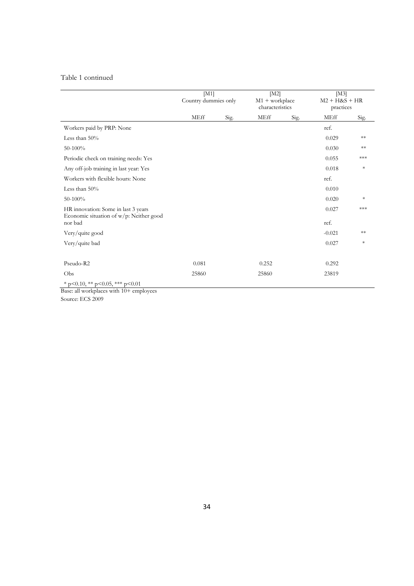#### Table 1 continued

|                                                                                | [M1]<br>Country dummies only |      | [M2]<br>$M1 + workplace$<br>characteristics |      | [M3]<br>$M2 + H&S + HR$<br>practices |        |
|--------------------------------------------------------------------------------|------------------------------|------|---------------------------------------------|------|--------------------------------------|--------|
|                                                                                | <b>MEff</b>                  | Sig. | <b>MEff</b>                                 | Sig. | <b>MEff</b>                          | Sig.   |
| Workers paid by PRP: None                                                      |                              |      |                                             |      | ref.                                 |        |
| Less than 50%                                                                  |                              |      |                                             |      | 0.029                                | $**$   |
| 50-100%                                                                        |                              |      |                                             |      | 0.030                                | $**$   |
| Periodic check on training needs: Yes                                          |                              |      |                                             |      | 0.055                                | ***    |
| Any off-job training in last year: Yes                                         |                              |      |                                             |      | 0.018                                | $\ast$ |
| Workers with flexible hours: None                                              |                              |      |                                             |      | ref.                                 |        |
| Less than $50\%$                                                               |                              |      |                                             |      | 0.010                                |        |
| 50-100%                                                                        |                              |      |                                             |      | 0.020                                | $\ast$ |
| HR innovation: Some in last 3 years<br>Economic situation of w/p: Neither good |                              |      |                                             |      | 0.027                                | $***$  |
| nor bad                                                                        |                              |      |                                             |      | ref.                                 |        |
| Very/quite good                                                                |                              |      |                                             |      | $-0.021$                             | **     |
| Very/quite bad                                                                 |                              |      |                                             |      | 0.027                                | $\ast$ |
|                                                                                |                              |      |                                             |      |                                      |        |
| Pseudo-R2                                                                      | 0.081                        |      | 0.252                                       |      | 0.292                                |        |
| Obs                                                                            | 25860                        |      | 25860                                       |      | 23819                                |        |
| * p<0.10, ** p<0.05, *** p<0.01                                                |                              |      |                                             |      |                                      |        |

Base: all workplaces with 10+ employees Source: ECS 2009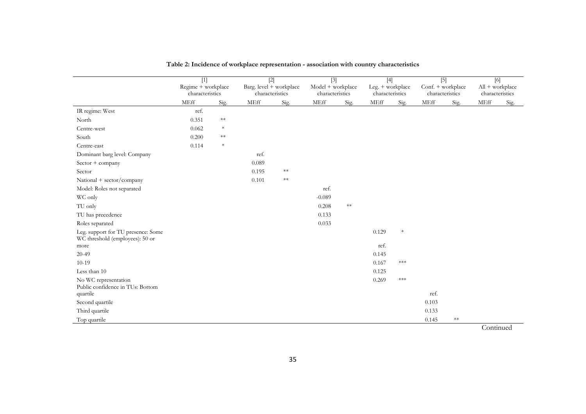|                                                                       | $[1]$                                 |            | $[2]$                                      |            | $[3]$                                |            | $[4]$                               |        | $[5]$                                |            | [6]                                |      |
|-----------------------------------------------------------------------|---------------------------------------|------------|--------------------------------------------|------------|--------------------------------------|------------|-------------------------------------|--------|--------------------------------------|------------|------------------------------------|------|
|                                                                       | Regime + workplace<br>characteristics |            | Barg. level + workplace<br>characteristics |            | Model + workplace<br>characteristics |            | Leg. + workplace<br>characteristics |        | Conf. + workplace<br>characteristics |            | All + workplace<br>characteristics |      |
|                                                                       | MEff                                  | Sig.       | $\operatorname{MEff}$                      | Sig.       | MEff                                 | Sig.       | MEff                                | Sig.   | MEff                                 | Sig.       | MEff                               | Sig. |
| IR regime: West                                                       | ref.                                  |            |                                            |            |                                      |            |                                     |        |                                      |            |                                    |      |
| North                                                                 | 0.351                                 | $**$       |                                            |            |                                      |            |                                     |        |                                      |            |                                    |      |
| Centre-west                                                           | 0.062                                 | $\ast$     |                                            |            |                                      |            |                                     |        |                                      |            |                                    |      |
| South                                                                 | 0.200                                 | $\ast\ast$ |                                            |            |                                      |            |                                     |        |                                      |            |                                    |      |
| Centre-east                                                           | 0.114                                 | $\ast$     |                                            |            |                                      |            |                                     |        |                                      |            |                                    |      |
| Dominant barg level: Company                                          |                                       |            | ref.                                       |            |                                      |            |                                     |        |                                      |            |                                    |      |
| $Sector + company$                                                    |                                       |            | 0.089                                      |            |                                      |            |                                     |        |                                      |            |                                    |      |
| Sector                                                                |                                       |            | 0.195                                      | $\ast\ast$ |                                      |            |                                     |        |                                      |            |                                    |      |
| National + sector/company                                             |                                       |            | 0.101                                      | $**$       |                                      |            |                                     |        |                                      |            |                                    |      |
| Model: Roles not separated                                            |                                       |            |                                            |            | ref.                                 |            |                                     |        |                                      |            |                                    |      |
| WC only                                                               |                                       |            |                                            |            | $-0.089$                             |            |                                     |        |                                      |            |                                    |      |
| TU only                                                               |                                       |            |                                            |            | 0.208                                | $\ast\ast$ |                                     |        |                                      |            |                                    |      |
| TU has precedence                                                     |                                       |            |                                            |            | 0.133                                |            |                                     |        |                                      |            |                                    |      |
| Roles separated                                                       |                                       |            |                                            |            | 0.033                                |            |                                     |        |                                      |            |                                    |      |
| Leg. support for TU presence: Some<br>WC threshold (employees): 50 or |                                       |            |                                            |            |                                      |            | 0.129                               | $\ast$ |                                      |            |                                    |      |
| more                                                                  |                                       |            |                                            |            |                                      |            | ref.                                |        |                                      |            |                                    |      |
| $20 - 49$                                                             |                                       |            |                                            |            |                                      |            | 0.145                               |        |                                      |            |                                    |      |
| $10-19$                                                               |                                       |            |                                            |            |                                      |            | 0.167                               | ***    |                                      |            |                                    |      |
| Less than 10                                                          |                                       |            |                                            |            |                                      |            | 0.125                               |        |                                      |            |                                    |      |
| No WC representation                                                  |                                       |            |                                            |            |                                      |            | 0.269                               | ***    |                                      |            |                                    |      |
| Public confidence in TUs: Bottom                                      |                                       |            |                                            |            |                                      |            |                                     |        | ref.                                 |            |                                    |      |
| quartile                                                              |                                       |            |                                            |            |                                      |            |                                     |        | 0.103                                |            |                                    |      |
| Second quartile                                                       |                                       |            |                                            |            |                                      |            |                                     |        |                                      |            |                                    |      |
| Third quartile                                                        |                                       |            |                                            |            |                                      |            |                                     |        | 0.133                                | $\ast\ast$ |                                    |      |
| Top quartile                                                          |                                       |            |                                            |            |                                      |            |                                     |        | 0.145                                |            |                                    |      |

**Table 2: Incidence of workplace representation - association with country characteristics**

**Continued**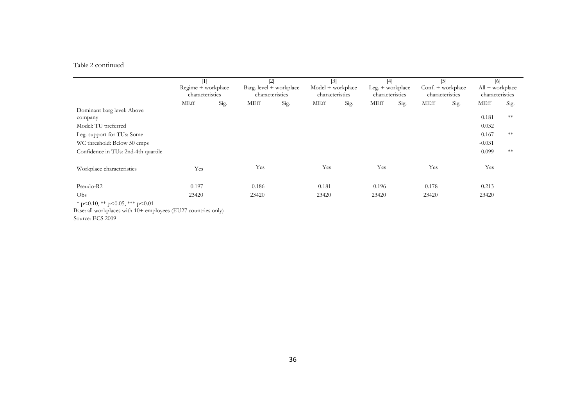#### Table 2 continued

|                                         | $[1]$<br>Regime + workplace<br>characteristics |      | $[2]$<br>Barg. $level + workplace$<br>characteristics |      | $[3]$<br>Model + workplace<br>characteristics |      | $[4]$<br>$Leg. + work place$<br>characteristics |      | $[5]$<br>Conf. + workplace<br>characteristics |      | [6]<br>$All + workplace$<br>characteristics |      |
|-----------------------------------------|------------------------------------------------|------|-------------------------------------------------------|------|-----------------------------------------------|------|-------------------------------------------------|------|-----------------------------------------------|------|---------------------------------------------|------|
|                                         | <b>MEff</b>                                    | Sig. | MEff                                                  | Sig. | <b>MEff</b>                                   | Sig. | <b>MEff</b>                                     | Sig. | <b>MEff</b>                                   | Sig. | <b>MEff</b>                                 | Sig. |
| Dominant barg level: Above              |                                                |      |                                                       |      |                                               |      |                                                 |      |                                               |      |                                             |      |
| company                                 |                                                |      |                                                       |      |                                               |      |                                                 |      |                                               |      | 0.181                                       | $**$ |
| Model: TU preferred                     |                                                |      |                                                       |      |                                               |      |                                                 |      |                                               |      | 0.032                                       |      |
| Leg. support for TUs: Some              |                                                |      |                                                       |      |                                               |      |                                                 |      |                                               |      | 0.167                                       | $**$ |
| WC threshold: Below 50 emps             |                                                |      |                                                       |      |                                               |      |                                                 |      |                                               |      | $-0.031$                                    |      |
| Confidence in TUs: 2nd-4th quartile     |                                                |      |                                                       |      |                                               |      |                                                 |      |                                               |      | 0.099                                       | $**$ |
| Workplace characteristics               | Yes                                            |      | Yes                                                   |      | Yes                                           |      | Yes                                             |      | Yes                                           |      | Yes                                         |      |
| Pseudo-R2                               | 0.197                                          |      | 0.186                                                 |      | 0.181                                         |      | 0.196                                           |      | 0.178                                         |      | 0.213                                       |      |
| Obs                                     | 23420                                          |      | 23420                                                 |      | 23420                                         |      | 23420                                           |      | 23420                                         |      | 23420                                       |      |
| * $p<0.10$ , ** $p<0.05$ , *** $p<0.01$ |                                                |      |                                                       |      |                                               |      |                                                 |      |                                               |      |                                             |      |

Base: all workplaces with 10+ employees (EU27 countries only)

Source: ECS 2009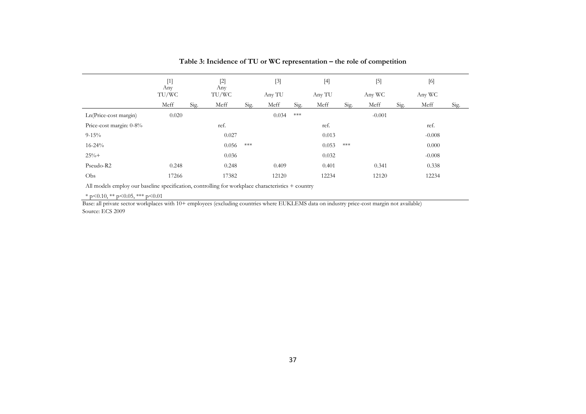|                         | $[1]$<br>Any |      | $[2]$<br>Any |       | $[3]$  |                    | $[4]$  |                    | $[5]$    |      | $[6]$    |      |
|-------------------------|--------------|------|--------------|-------|--------|--------------------|--------|--------------------|----------|------|----------|------|
|                         | TU/WC        |      | TU/WC        |       | Any TU |                    | Any TU |                    | Any WC   |      | Any WC   |      |
|                         | Meff         | Sig. | Meff         | Sig.  | Meff   | Sig.               | Meff   | Sig.               | Meff     | Sig. | Meff     | Sig. |
| Ln(Price-cost margin)   | 0.020        |      |              |       | 0.034  | $\ast\!\ast\!\ast$ |        |                    | $-0.001$ |      |          |      |
| Price-cost margin: 0-8% |              |      | ref.         |       |        |                    | ref.   |                    |          |      | ref.     |      |
| $9 - 15\%$              |              |      | 0.027        |       |        |                    | 0.013  |                    |          |      | $-0.008$ |      |
| $16 - 24\%$             |              |      | 0.056        | $***$ |        |                    | 0.053  | $\ast\!\ast\!\ast$ |          |      | 0.000    |      |
| $25% +$                 |              |      | 0.036        |       |        |                    | 0.032  |                    |          |      | $-0.008$ |      |
| Pseudo-R2               | 0.248        |      | 0.248        |       | 0.409  |                    | 0.401  |                    | 0.341    |      | 0.338    |      |
| Obs                     | 17266        |      | 17382        |       | 12120  |                    | 12234  |                    | 12120    |      | 12234    |      |
|                         |              |      |              |       |        |                    |        |                    |          |      |          |      |

**Table 3: Incidence of TU or WC representation – the role of competition** 

All models employ our baseline specification, controlling for workplace characteristics + country

 $*$  p<0.10,  $*$  p <0.05,  $*$  p <0.01

Base: all private sector workplaces with 10+ employees (excluding countries where EUKLEMS data on industry price-cost margin not available) Source: ECS 2009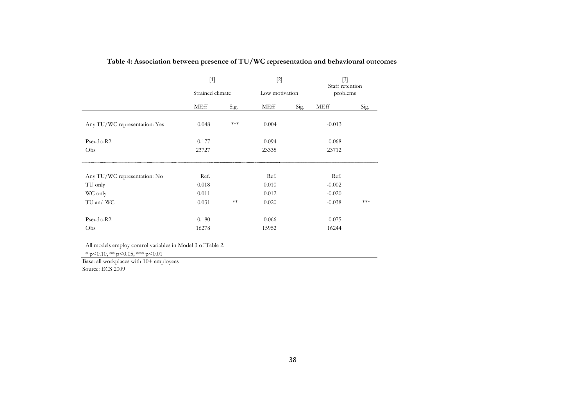|                               | $[1]$<br>Strained climate |       | $[2]$          |      | $[3]$<br>Staff retention |      |
|-------------------------------|---------------------------|-------|----------------|------|--------------------------|------|
|                               |                           |       | Low motivation |      | problems                 |      |
|                               | <b>MEff</b>               | Sig.  | MEff           | Sig. | MEff                     | Sig. |
| Any TU/WC representation: Yes | 0.048                     | $***$ | 0.004          |      | $-0.013$                 |      |
| Pseudo-R2                     | 0.177                     |       | 0.094          |      | 0.068                    |      |
| Obs                           | 23727                     |       | 23335          |      | 23712                    |      |
| Any TU/WC representation: No  | Ref.                      |       | Ref.           |      | Ref.                     |      |
| TU only                       | 0.018                     |       | 0.010          |      | $-0.002$                 |      |
| WC only                       | 0.011                     |       | 0.012          |      | $-0.020$                 |      |
| TU and WC                     | 0.031                     | $**$  | 0.020          |      | $-0.038$                 | ***  |
| Pseudo-R2                     | 0.180                     |       | 0.066          |      | 0.075                    |      |
| Obs                           | 16278                     |       | 15952          |      | 16244                    |      |

**Table 4: Association between presence of TU/WC representation and behavioural outcomes** 

All models employ control variables in Model 3 of Table 2.

 $*$  p<0.10,  $*$  p<0.05,  $**$  p<0.01

Base: all workplaces with 10+ employees Source: ECS 2009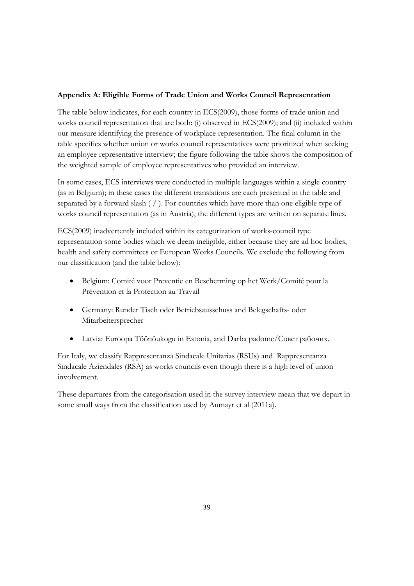#### **Appendix A: Eligible Forms of Trade Union and Works Council Representation**

The table below indicates, for each country in ECS(2009), those forms of trade union and works council representation that are both: (i) observed in ECS(2009); and (ii) included within our measure identifying the presence of workplace representation. The final column in the table specifies whether union or works council representatives were prioritized when seeking an employee representative interview; the figure following the table shows the composition of the weighted sample of employee representatives who provided an interview.

In some cases, ECS interviews were conducted in multiple languages within a single country (as in Belgium); in these cases the different translations are each presented in the table and separated by a forward slash ( / ). For countries which have more than one eligible type of works council representation (as in Austria), the different types are written on separate lines.

ECS(2009) inadvertently included within its categorization of works-council type representation some bodies which we deem ineligible, either because they are ad hoc bodies, health and safety committees or European Works Councils. We exclude the following from our classification (and the table below):

- Belgium: Comité voor Preventie en Bescherming op het Werk/Comité pour la Prévention et la Protection au Travail
- Germany: Runder Tisch oder Betriebsausschuss and Belegschafts- oder Mitarbeitersprecher
- Latvia: Euroopa Töönõukogu in Estonia, and Darba padome/Совет рабочих.

For Italy, we classify Rappresentanza Sindacale Unitarias (RSUs) and Rappresentanza Sindacale Aziendales (RSA) as works councils even though there is a high level of union involvement.

These departures from the categorisation used in the survey interview mean that we depart in some small ways from the classification used by Aumayr et al (2011a).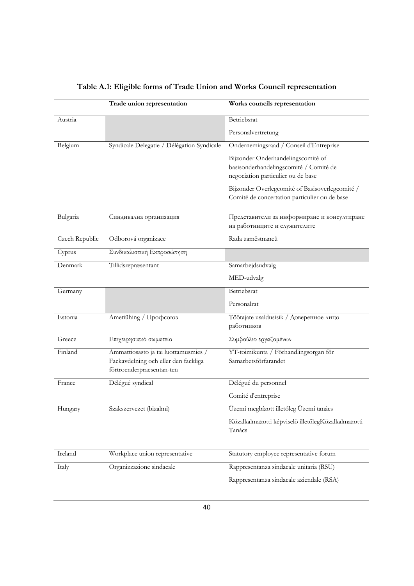|                | Trade union representation                                                                                | Works councils representation                                                                                      |
|----------------|-----------------------------------------------------------------------------------------------------------|--------------------------------------------------------------------------------------------------------------------|
| Austria        |                                                                                                           | Betriebsrat                                                                                                        |
|                |                                                                                                           | Personalvertretung                                                                                                 |
| Belgium        | Syndicale Delegatie / Délégation Syndicale                                                                | Ondernemingsraad / Conseil d'Entreprise                                                                            |
|                |                                                                                                           | Bijzonder Onderhandelingscomité of<br>basisonderhandelingscomité / Comité de<br>negociation particulier ou de base |
|                |                                                                                                           | Bijzonder Overlegcomité of Basisoverlegcomité /<br>Comité de concertation particulier ou de base                   |
| Bulgaria       | Синдикална организация                                                                                    | Представители за информиране и консултиране<br>на работниците и служителите                                        |
| Czech Republic | Odborová organizace                                                                                       | Rada zaměstnanců                                                                                                   |
| Cyprus         | Συνδικαλιστική Εκπροσώπηση                                                                                |                                                                                                                    |
| Denmark        | Tillidsrepræsentant                                                                                       | Samarbejdsudvalg                                                                                                   |
|                |                                                                                                           | MED-udvalg                                                                                                         |
| Germany        |                                                                                                           | Betriebsrat                                                                                                        |
|                |                                                                                                           | Personalrat                                                                                                        |
| Estonia        | Ametiühing / Профсоюз                                                                                     | Töötajate usaldusisik / Доверенное лицо<br>работников                                                              |
| Greece         | Επιχειρησιακό σωματείο                                                                                    | Συμβούλιο εργαζομένων                                                                                              |
| Finland        | Ammattiosasto ja tai luottamusmies /<br>Fackavdelning och eller den fackliga<br>förtroenderpraesentan-ten | YT-toimikunta / Förhandlingsorgan för<br>Samarbetsförfarandet                                                      |
| France         | Délégué syndical                                                                                          | Délégué du personnel                                                                                               |
|                |                                                                                                           | Comité d'entreprise                                                                                                |
| Hungary        | Szakszervezet (bizalmi)                                                                                   | Üzemi megbízott illetőleg Üzemi tanács                                                                             |
|                |                                                                                                           | Közalkalmazotti képviselö illetőlegKözalkalmazotti<br>Tanács                                                       |
| Ireland        | Workplace union representative                                                                            | Statutory employee representative forum                                                                            |
| Italy          | Organizzazione sindacale                                                                                  | Rappresentanza sindacale unitaria (RSU)                                                                            |
|                |                                                                                                           | Rappresentanza sindacale aziendale (RSA)                                                                           |

## **Table A.1: Eligible forms of Trade Union and Works Council representation**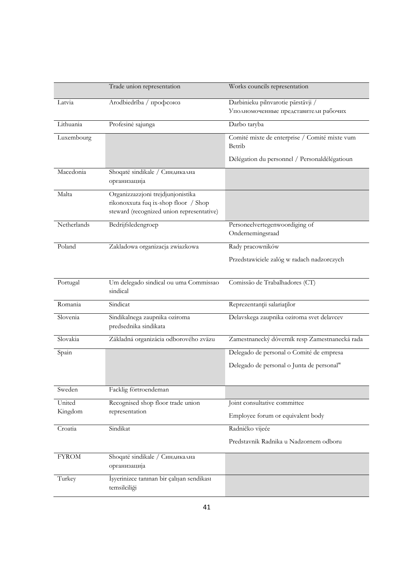|              | Trade union representation                                                                                             | Works councils representation                                              |
|--------------|------------------------------------------------------------------------------------------------------------------------|----------------------------------------------------------------------------|
| Latvia       | Arodbiedrība / профсоюз                                                                                                | Darbinieku pilnvarotie pārstāvji /<br>Уполномоченные представители рабочих |
| Lithuania    | Profesinė sąjunga                                                                                                      | Darbo taryba                                                               |
| Luxembourg   |                                                                                                                        | Comité mixte de enterprise / Comité mixte vum<br>Betrib                    |
|              |                                                                                                                        | Délégation du personnel / Personaldélégatioun                              |
| Macedonia    | Shoqatë sindikale / Синдикална<br>организација                                                                         |                                                                            |
| Malta        | Organizzazzjoni trejdjunjonistika<br>rikonoxxuta fuq ix-shop floor / Shop<br>steward (recognized union representative) |                                                                            |
| Netherlands  | Bedrijfsledengroep                                                                                                     | Personeelvertegenwoordiging of<br>Ondernemingsraad                         |
| Poland       | Zakladowa organizacja zwiazkowa                                                                                        | Rady pracowników                                                           |
|              |                                                                                                                        | Przedstawiciele zalóg w radach nadzorczych                                 |
| Portugal     | Um delegado sindical ou uma Commissao<br>sindical                                                                      | Comissão de Trabalhadores (CT)                                             |
| Romania      | Sindicat                                                                                                               | Reprezentanții salariaților                                                |
| Slovenia     | Sindikalnega zaupnika oziroma<br>predsednika sindikata                                                                 | Delavskega zaupnika oziroma svet delavcev                                  |
| Slovakia     | Základná organizácia odborového zväzu                                                                                  | Zamestnanecký dôverník resp Zamestnanecká rada                             |
| Spain        |                                                                                                                        | Delegado de personal o Comité de empresa                                   |
|              |                                                                                                                        | Delegado de personal o Junta de personal"                                  |
| Sweden       | Facklig förtroendeman                                                                                                  |                                                                            |
| United       | Recognised shop floor trade union                                                                                      | Joint consultative committee                                               |
| Kingdom      | representation                                                                                                         | Employee forum or equivalent body                                          |
| Croatia      | Sindikat                                                                                                               | Radničko vijeće                                                            |
|              |                                                                                                                        | Predstavnik Radnika u Nadzornem odboru                                     |
| <b>FYROM</b> | Shoqatë sindikale / Синдикална<br>организација                                                                         |                                                                            |
| Turkey       | İşyerinizce tanınan bir çalışan sendikası<br>temsilciliği                                                              |                                                                            |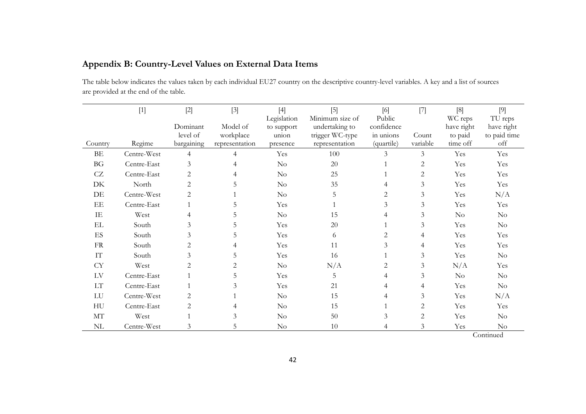| Appendix B: Country-Level Values on External Data Items |  |  |  |  |
|---------------------------------------------------------|--|--|--|--|
|---------------------------------------------------------|--|--|--|--|

The table below indicates the values taken by each individual EU27 country on the descriptive country-level variables. A key and a list of sources are provided at the end of the table.

|                            | $[1]$       | $[2]$<br>Dominant      | $[3]$<br>Model of           | $[4]$<br>Legislation<br>to support | $[5]$<br>Minimum size of<br>undertaking to | $[6]$<br>Public<br>confidence | $[7]$             | [8]<br>WC reps<br>have right | $[9]$<br>TU reps<br>have right |
|----------------------------|-------------|------------------------|-----------------------------|------------------------------------|--------------------------------------------|-------------------------------|-------------------|------------------------------|--------------------------------|
| Country                    | Regime      | level of<br>bargaining | workplace<br>representation | union<br>presence                  | trigger WC-type<br>representation          | in unions<br>(quartile)       | Count<br>variable | to paid<br>time off          | to paid time<br>off            |
| BE                         | Centre-West | $\overline{4}$         | 4                           | Yes                                | 100                                        | 3                             | $\mathfrak{Z}$    | Yes                          | Yes                            |
| BG                         | Centre-East | 3                      |                             | $\rm No$                           | 20                                         |                               | 2                 | Yes                          | Yes                            |
| CZ                         | Centre-East | $\mathbf{2}$           | 4                           | $\rm No$                           | 25                                         |                               | $\mathbf{2}$      | Yes                          | Yes                            |
| DK                         | North       | $\mathbf{2}$           | 5                           | $\rm No$                           | 35                                         | 4                             | 3                 | Yes                          | Yes                            |
| DE                         | Centre-West | $\mathbf{2}$           |                             | $\rm No$                           | 5                                          | 2                             | $\mathfrak{Z}$    | Yes                          | N/A                            |
| EE                         | Centre-East |                        | 5                           | Yes                                |                                            | 3                             | $\mathfrak{Z}$    | Yes                          | Yes                            |
| IE                         | West        | 4                      | 5                           | $\rm No$                           | 15                                         | 4                             | $\mathfrak{Z}$    | $\rm No$                     | $\rm No$                       |
| $\mathop{\rm EL}$          | South       | $\mathfrak{Z}$         | 5                           | Yes                                | 20                                         |                               | 3                 | Yes                          | $\rm No$                       |
| $\mathop{\hbox{\rm ES}}$   | South       | 3                      | 5                           | Yes                                | 6                                          | $\overline{c}$                | 4                 | Yes                          | Yes                            |
| ${\rm FR}$                 | South       | 2                      |                             | Yes                                | 11                                         | 3                             | 4                 | Yes                          | Yes                            |
| IT                         | South       | 3                      | 5                           | Yes                                | 16                                         |                               | $\mathfrak{Z}$    | Yes                          | $\rm No$                       |
| <b>CY</b>                  | West        | $\mathbf{2}$           | 2                           | $\rm No$                           | N/A                                        | $\overline{2}$                | 3                 | N/A                          | Yes                            |
| ${\rm LV}$                 | Centre-East |                        | 5                           | Yes                                | 5                                          | 4                             | $\mathfrak{Z}$    | $\rm No$                     | $\rm No$                       |
| $\mathop{\rm LT}\nolimits$ | Centre-East |                        | 3                           | Yes                                | 21                                         |                               | 4                 | Yes                          | $\rm No$                       |
| ${\rm LU}$                 | Centre-West | 2                      |                             | $\rm No$                           | 15                                         | 4                             | 3                 | Yes                          | N/A                            |
| HU                         | Centre-East | 2                      | 4                           | $\rm No$                           | 15                                         |                               | 2                 | Yes                          | Yes                            |
| $\rm{MT}$                  | West        |                        | 3                           | $\rm No$                           | $50\,$                                     | 3                             | 2                 | Yes                          | $\rm No$                       |
| $\rm NL$                   | Centre-West | 3                      | 5                           | $\rm No$                           | 10                                         |                               | 3                 | Yes                          | $\rm No$                       |

**Continued**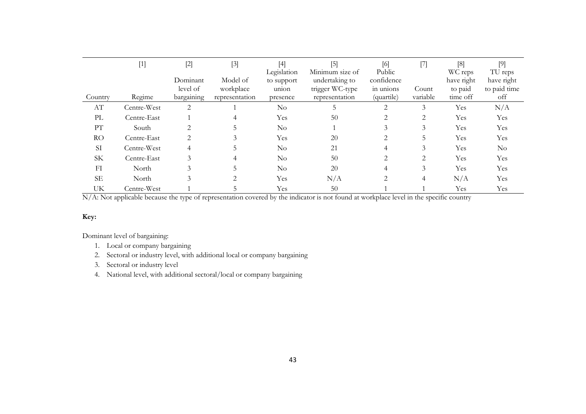|                        | $[1] % \begin{center} % \includegraphics[width=\linewidth]{imagesSupplemental_3.png} % \end{center} % \caption { % Our method shows the proposed method. % Our method shows the proposed method. % } % \label{fig:example} %$ | $[2]$      | $[3]$          | [4]<br>Legislation | $[5]$<br>Minimum size of | [6]<br>Public  | $[7]$    | [8]<br>WC reps | TU reps      |
|------------------------|-------------------------------------------------------------------------------------------------------------------------------------------------------------------------------------------------------------------------------|------------|----------------|--------------------|--------------------------|----------------|----------|----------------|--------------|
|                        |                                                                                                                                                                                                                               | Dominant   | Model of       | to support         | undertaking to           | confidence     |          | have right     | have right   |
|                        |                                                                                                                                                                                                                               | level of   | workplace      | union              | trigger WC-type          | in unions      | Count    | to paid        | to paid time |
| Country                | Regime                                                                                                                                                                                                                        | bargaining | representation | presence           | representation           | (quartile)     | variable | time off       | off          |
| $\mathbf{A}\mathbf{T}$ | Centre-West                                                                                                                                                                                                                   | 2          |                | $\rm No$           |                          | 2              | 3        | Yes            | N/A          |
| PL                     | Centre-East                                                                                                                                                                                                                   |            |                | Yes                | 50                       |                | 2        | Yes            | Yes          |
| PT                     | South                                                                                                                                                                                                                         | 2          | C.             | $\rm No$           |                          | 3              | 3        | Yes            | Yes          |
| <b>RO</b>              | Centre-East                                                                                                                                                                                                                   | 2          | 3              | Yes                | 20                       | 2              | 5        | Yes            | Yes          |
| <b>SI</b>              | Centre-West                                                                                                                                                                                                                   | 4          | $\mathcal{D}$  | $\rm No$           | 21                       | 4              | 3        | Yes            | $\rm No$     |
| <b>SK</b>              | Centre-East                                                                                                                                                                                                                   | 3          | 4              | $\rm No$           | 50                       | 2              | 2        | Yes            | Yes          |
| FI                     | North                                                                                                                                                                                                                         | 3          |                | $\rm No$           | 20                       | $\overline{4}$ | 3        | Yes            | Yes          |
| <b>SE</b>              | North                                                                                                                                                                                                                         | 3          |                | Yes                | N/A                      | 2              | 4        | N/A            | Yes          |
| UK                     | Centre-West                                                                                                                                                                                                                   |            |                | Yes                | 50                       |                |          | Yes            | Yes          |

N/A: Not applicable because the type of representation covered by the indicator is not found at workplace level in the specific country

#### **Key:**

Dominant level of bargaining:

- 1. Local or company bargaining
- 2. Sectoral or industry level, with additional local or company bargaining
- 3. Sectoral or industry level
- 4. National level, with additional sectoral/local or company bargaining